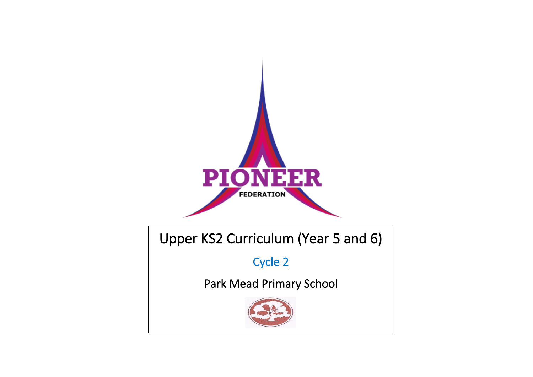

Upper KS2 Curriculum (Year 5 and 6)

Cycle 2

Park Mead Primary School

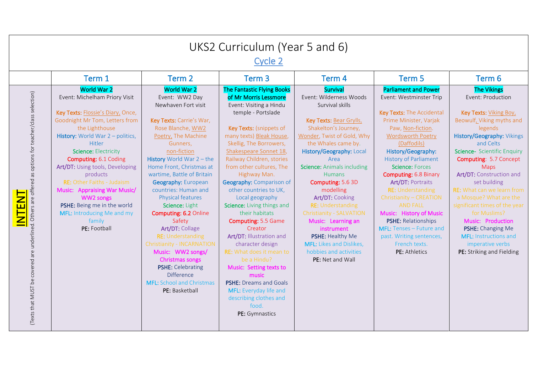|                                                                                                                                   | UKS2 Curriculum (Year 5 and 6)<br>Cycle 2                                                                                                                                                                                                                                                                                                                                                                                                                           |                                                                                                                                                                                                                                                                                                                                                                                                                                                                                                                                                                                                                     |                                                                                                                                                                                                                                                                                                                                                                                                                                                                                                                                                                                                                                                                                                            |                                                                                                                                                                                                                                                                                                                                                                                                                                                                                                                       |                                                                                                                                                                                                                                                                                                                                                                                                                                                                                                                                                 |                                                                                                                                                                                                                                                                                                                                                                                                                                                                                                                            |  |  |  |
|-----------------------------------------------------------------------------------------------------------------------------------|---------------------------------------------------------------------------------------------------------------------------------------------------------------------------------------------------------------------------------------------------------------------------------------------------------------------------------------------------------------------------------------------------------------------------------------------------------------------|---------------------------------------------------------------------------------------------------------------------------------------------------------------------------------------------------------------------------------------------------------------------------------------------------------------------------------------------------------------------------------------------------------------------------------------------------------------------------------------------------------------------------------------------------------------------------------------------------------------------|------------------------------------------------------------------------------------------------------------------------------------------------------------------------------------------------------------------------------------------------------------------------------------------------------------------------------------------------------------------------------------------------------------------------------------------------------------------------------------------------------------------------------------------------------------------------------------------------------------------------------------------------------------------------------------------------------------|-----------------------------------------------------------------------------------------------------------------------------------------------------------------------------------------------------------------------------------------------------------------------------------------------------------------------------------------------------------------------------------------------------------------------------------------------------------------------------------------------------------------------|-------------------------------------------------------------------------------------------------------------------------------------------------------------------------------------------------------------------------------------------------------------------------------------------------------------------------------------------------------------------------------------------------------------------------------------------------------------------------------------------------------------------------------------------------|----------------------------------------------------------------------------------------------------------------------------------------------------------------------------------------------------------------------------------------------------------------------------------------------------------------------------------------------------------------------------------------------------------------------------------------------------------------------------------------------------------------------------|--|--|--|
|                                                                                                                                   | Term 1                                                                                                                                                                                                                                                                                                                                                                                                                                                              | Term <sub>2</sub>                                                                                                                                                                                                                                                                                                                                                                                                                                                                                                                                                                                                   | Term <sub>3</sub>                                                                                                                                                                                                                                                                                                                                                                                                                                                                                                                                                                                                                                                                                          | Term 4                                                                                                                                                                                                                                                                                                                                                                                                                                                                                                                | Term 5                                                                                                                                                                                                                                                                                                                                                                                                                                                                                                                                          | Term 6                                                                                                                                                                                                                                                                                                                                                                                                                                                                                                                     |  |  |  |
| (Texts that MUST be covered are underlined. Others are offered as options for teacher/class selection)<br>$\overline{\mathsf{N}}$ | <b>World War 2</b><br>Event: Michelham Priory Visit<br>Key Texts: Flossie's Diary, Once,<br>Goodnight Mr Tom, Letters from<br>the Lighthouse<br>History: World War 2 - politics,<br>Hitler<br>Science: Electricity<br>Computing: 6.1 Coding<br>Art/DT: Using tools, Developing<br>products<br><b>RE:</b> Other Faiths - Judaism<br>Music: Appraising War Music/<br>WW2 songs<br>PSHE: Being me in the world<br>MFL: Introducing Me and my<br>family<br>PE: Football | World War 2<br>Event: WW2 Day<br>Newhaven Fort visit<br>Key Texts: Carrie's War,<br>Rose Blanche, WW2<br>Poetry, The Machine<br>Gunners,<br>non-fiction<br><b>History</b> World War $2 -$ the<br>Home Front, Christmas at<br>wartime, Battle of Britain<br><b>Geography: European</b><br>countries: Human and<br>Physical features<br>Science: Light<br>Computing: 6.2 Online<br>Safety<br>Art/DT: Collage<br><b>RE: Understanding</b><br>Christianity - INCARNATION<br>Music: WW2 songs/<br>Christmas songs<br><b>PSHE: Celebrating</b><br><b>Difference</b><br><b>MFL:</b> School and Christmas<br>PE: Basketball | The Fantastic Flying Books<br>of Mr Morris Lessmore<br>Event: Visiting a Hindu<br>temple - Portslade<br>Key Texts: (snippets of<br>many texts) Bleak House,<br>Skellig, The Borrowers,<br>Shakespeare Sonnet 18,<br>Railway Children, stories<br>from other cultures, The<br>Highway Man.<br>Geography: Comparison of<br>other countries to UK,<br>Local geography<br>Science: Living things and<br>their habitats<br>Computing: 5.5 Game<br>Creator<br>Art/DT: Illustration and<br>character design<br><b>RE:</b> What does it mean to<br>be a Hindu?<br>Music: Setting texts to<br>music<br><b>PSHE: Dreams and Goals</b><br>MFL: Everyday life and<br>describing clothes and<br>food.<br>PE: Gymnastics | Survival<br>Event: Wilderness Woods<br>Survival skills<br>Key Texts: Bear Grylls,<br>Shakelton's Journey,<br>Wonder, Twist of Gold, Why<br>the Whales came by.<br>History/Geography: Local<br>Area<br><b>Science:</b> Animals including<br><b>Humans</b><br>Computing: 5.6 3D<br>modelling<br>Art/DT: Cooking<br><b>RE: Understanding</b><br>Christianity - SALVATION<br>Music: Learning an<br>instrument<br>PSHE: Healthy Me<br><b>MFL:</b> Likes and Dislikes,<br>hobbies and activities<br><b>PE:</b> Net and Wall | <b>Parliament and Power</b><br>Event: Westminster Trip<br>Key Texts: The Accidental<br>Prime Minister, Varjak<br>Paw, Non-fiction.<br><b>Wordsworth Poetry</b><br>(Daffodils)<br>History/Geography:<br><b>History of Parliament</b><br>Science: Forces<br>Computing: 6.8 Binary<br><b>Art/DT: Portraits</b><br><b>RE: Understanding</b><br>Christianity - CREATION<br><b>AND FALL</b><br>Music: History of Music<br><b>PSHE: Relationships</b><br>MFL: Tenses - Future and<br>past. Writing sentences,<br>French texts.<br><b>PE:</b> Athletics | <b>The Vikings</b><br>Event: Production<br>Key Texts: Viking Boy,<br>Beowulf, Viking myths and<br>legends<br>History/Geography: Vikings<br>and Celts<br>Science- Scientific Enquiry<br><b>Computing: 5.7 Concept</b><br><b>Maps</b><br>Art/DT: Construction and<br>set building<br><b>RE:</b> What can we learn from<br>a Mosque? What are the<br>significant times of the year<br>for Muslims?<br>Music: Production<br>PSHE: Changing Me<br><b>MFL: Instructions and</b><br>imperative verbs<br>PE: Striking and Fielding |  |  |  |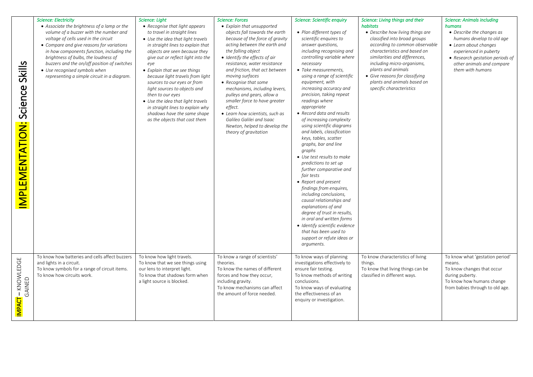| Skills<br>Science<br><b>MPLEMENTATION:</b> | <b>Science: Electricity</b><br>• Associate the brightness of a lamp or the<br>volume of a buzzer with the number and<br>voltage of cells used in the circuit<br>• Compare and give reasons for variations<br>in how components function, including the<br>brightness of bulbs, the loudness of<br>buzzers and the on/off position of switches<br>• Use recognised symbols when<br>representing a simple circuit in a diagram. | Science: Light<br>• Recognise that light appears<br>to travel in straight lines<br>• Use the idea that light travels<br>in straight lines to explain that<br>objects are seen because they<br>give out or reflect light into the<br>eye<br>• Explain that we see things<br>because light travels from light<br>sources to our eyes or from<br>light sources to objects and<br>then to our eyes<br>• Use the idea that light travels<br>in straight lines to explain why<br>shadows have the same shape<br>as the objects that cast them | <b>Science: Forces</b><br>• Explain that unsupported<br>objects fall towards the earth<br>because of the force of gravity<br>acting between the earth and<br>the falling object<br>• Identify the effects of air<br>resistance, water resistance<br>and friction, that act between<br>moving surfaces<br>• Recognise that some<br>mechanisms, including levers,<br>pulleys and gears, allow a<br>smaller force to have greater<br>effect.<br>• Learn how scientists, such as<br>Galileo Galilei and Isaac<br>Newton, helped to develop the<br>theory of gravitation | <b>Science: Scientific enquiry</b><br>• Plan different types of<br>scientific enquires to<br>answer questions,<br>including recognising and<br>controlling variable where<br>necessary<br>· Take measurements,<br>using a range of scientific<br>equipment, with<br>increasing accuracy and<br>precision, taking repeat<br>readings where<br>appropriate<br>• Record data and results<br>of increasing complexity<br>using scientific diagrams<br>and labels, classification<br>keys, tables, scatter<br>graphs, bar and line<br>graphs<br>• Use test results to make<br>predictions to set up<br>further comparative and<br>fair tests<br>• Report and present<br>findings from enquires,<br>including conclusions,<br>causal relationships and<br>explanations of and<br>degree of trust in results,<br>in oral and written forms<br>• Identify scientific evidence<br>that has been used to<br>support or refute ideas or<br>arguments. | Science: Living things and their<br>habitats<br>• Describe how living things are<br>classified into broad groups<br>according to common observable<br>characteristics and based on<br>similarities and differences,<br>including micro-organisms,<br>plants and animals<br>• Give reasons for classifying<br>plants and animals based on<br>specific characteristics | <b>Science: Animals including</b><br>humans<br>• Describe the changes as<br>humans develop to old age<br>• Learn about changes<br>experienced in puberty<br>• Research gestation periods of<br>other animals and compare<br>them with humans |
|--------------------------------------------|-------------------------------------------------------------------------------------------------------------------------------------------------------------------------------------------------------------------------------------------------------------------------------------------------------------------------------------------------------------------------------------------------------------------------------|-----------------------------------------------------------------------------------------------------------------------------------------------------------------------------------------------------------------------------------------------------------------------------------------------------------------------------------------------------------------------------------------------------------------------------------------------------------------------------------------------------------------------------------------|---------------------------------------------------------------------------------------------------------------------------------------------------------------------------------------------------------------------------------------------------------------------------------------------------------------------------------------------------------------------------------------------------------------------------------------------------------------------------------------------------------------------------------------------------------------------|--------------------------------------------------------------------------------------------------------------------------------------------------------------------------------------------------------------------------------------------------------------------------------------------------------------------------------------------------------------------------------------------------------------------------------------------------------------------------------------------------------------------------------------------------------------------------------------------------------------------------------------------------------------------------------------------------------------------------------------------------------------------------------------------------------------------------------------------------------------------------------------------------------------------------------------------|----------------------------------------------------------------------------------------------------------------------------------------------------------------------------------------------------------------------------------------------------------------------------------------------------------------------------------------------------------------------|----------------------------------------------------------------------------------------------------------------------------------------------------------------------------------------------------------------------------------------------|
| IMPACT - KNOWLEDGE<br>GAINED               | To know how batteries and cells affect buzzers<br>and lights in a circuit.<br>To know symbols for a range of circuit items.<br>To know how circuits work.                                                                                                                                                                                                                                                                     | To know how light travels.<br>To know that we see things using<br>our lens to interpret light.<br>To know that shadows form when<br>a light source is blocked.                                                                                                                                                                                                                                                                                                                                                                          | To know a range of scientists'<br>theories.<br>To know the names of different<br>forces and how they occur,<br>including gravity.<br>To know mechanisms can affect<br>the amount of force needed.                                                                                                                                                                                                                                                                                                                                                                   | To know ways of planning<br>investigations effectively to<br>ensure fair testing.<br>To know methods of writing<br>conclusions.<br>To know ways of evaluating<br>the effectiveness of an<br>enquiry or investigation.                                                                                                                                                                                                                                                                                                                                                                                                                                                                                                                                                                                                                                                                                                                      | To know characteristics of living<br>things.<br>To know that living things can be<br>classified in different ways.                                                                                                                                                                                                                                                   | To know what 'gestation period'<br>means.<br>To know changes that occur<br>during puberty.<br>To know how humans change<br>from babies through to old age.                                                                                   |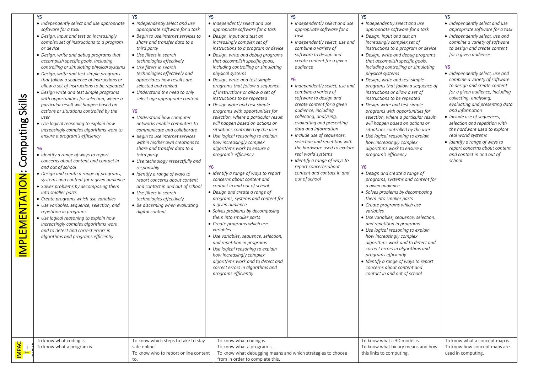| Skills<br>Computing<br><b>MPLEMENTATION:</b> | Y5<br>• Independently select and use appropriate<br>software for a task<br>• Design, input and test an increasingly<br>complex set of instructions to a program<br>or device<br>• Design, write and debug programs that<br>accomplish specific goals, including<br>controlling or simulating physical systems<br>• Design, write and test simple programs<br>that follow a sequence of instructions or<br>allow a set of instructions to be repeated<br>• Design write and test simple programs<br>with opportunities for selection, where a<br>particular result will happen based on<br>actions or situations controlled by the<br>user<br>• Use logical reasoning to explain how<br>increasingly complex algorithms work to<br>ensure a program's efficiency<br>• Identify a range of ways to report<br>concerns about content and contact in<br>and out of school<br>• Design and create a range of programs,<br>systems and content for a given audience<br>· Solves problems by decomposing them<br>into smaller parts<br>• Create programs which use variables<br>• Use variables, sequence, selection, and<br>repetition in programs<br>• Use logical reasoning to explain how<br>increasingly complex algorithms work<br>and to detect and correct errors in<br>algorithms and programs efficiently | Y5<br>• Independently select and use<br>appropriate software for a task<br>• Begin to use internet services to<br>share and transfer data to a<br>third party<br>• Use filters in search<br>technologies effectively<br>• Use filters in search<br>technologies effectively and<br>appreciates how results are<br>selected and ranked<br>• Understand the need to only<br>select age appropriate content<br><b>Y6</b><br>• Understand how computer<br>networks enable computers to<br>communicate and collaborate<br>• Begin to use internet services<br>within his/her own creations to<br>share and transfer data to a<br>third party<br>• Use technology respectfully and<br>responsibly<br>• Identify a range of ways to<br>report concerns about content<br>and contact in and out of school<br>• Use filters in search<br>technologies effectively<br>• Be discerning when evaluating<br>digital content | Y5<br>• Independently select and use<br>appropriate software for a task<br>• Design, input and test an<br>increasingly complex set of<br>instructions to a program or device<br>• Design, write and debug programs<br>that accomplish specific goals,<br>including controlling or simulating<br>physical systems<br>• Design, write and test simple<br>programs that follow a sequence<br>of instructions or allow a set of<br>instructions to be repeated<br>• Design write and test simple<br>programs with opportunities for<br>selection, where a particular result<br>will happen based on actions or<br>situations controlled by the user<br>• Use logical reasoning to explain<br>how increasingly complex<br>algorithms work to ensure a<br>program's efficiency<br>Y6<br>• Identify a range of ways to report<br>concerns about content and<br>contact in and out of school<br>• Design and create a range of<br>programs, systems and content for<br>a given audience<br>• Solves problems by decomposing<br>them into smaller parts<br>• Create programs which use<br>variables<br>• Use variables, sequence, selection,<br>and repetition in programs<br>• Use logical reasoning to explain<br>how increasingly complex<br>algorithms work and to detect and<br>correct errors in algorithms and<br>programs efficiently | Υ5<br>• Independently select and use<br>appropriate software for a<br>task<br>• Independently select, use and<br>combine a variety of<br>software to design and<br>create content for a given<br>audience<br>Υ6<br>• Independently select, use and<br>combine a variety of<br>software to design and<br>create content for a given<br>audience, including<br>collecting, analysing,<br>evaluating and presenting<br>data and information<br>• Include use of sequences,<br>selection and repetition with<br>the hardware used to explore<br>real world systems<br>• Identify a range of ways to<br>report concerns about<br>content and contact in and<br>out of school | Y <sub>5</sub><br>• Independently select and use<br>appropriate software for a task<br>• Design, input and test an<br>increasingly complex set of<br>instructions to a program or device<br>• Design, write and debug programs<br>that accomplish specific goals,<br>including controlling or simulating<br>physical systems<br>• Design, write and test simple<br>programs that follow a sequence of<br>instructions or allow a set of<br>instructions to be repeated<br>• Design write and test simple<br>programs with opportunities for<br>selection, where a particular result<br>will happen based on actions or<br>situations controlled by the user<br>• Use logical reasoning to explain<br>how increasingly complex<br>algorithms work to ensure a<br>program's efficiency<br>Y6<br>• Design and create a range of<br>programs, systems and content for<br>a given audience<br>• Solves problems by decomposing<br>them into smaller parts<br>• Create programs which use<br>variables<br>• Use variables, sequence, selection,<br>and repetition in programs<br>• Use logical reasoning to explain<br>how increasingly complex<br>algorithms work and to detect and<br>correct errors in algorithms and<br>programs efficiently<br>• Identify a range of ways to report<br>concerns about content and<br>contact in and out of school | Y5<br>• Independently select and use<br>appropriate software for a task<br>• Independently select, use and<br>combine a variety of software<br>to design and create content<br>for a given audience<br><b>Y6</b><br>• Independently select, use and<br>combine a variety of software<br>to design and create content<br>for a given audience, including<br>collecting, analysing,<br>evaluating and presenting data<br>and information<br>• Include use of sequences,<br>selection and repetition with<br>the hardware used to explore<br>real world systems<br>• Identify a range of ways to<br>report concerns about content<br>and contact in and out of<br>school |
|----------------------------------------------|--------------------------------------------------------------------------------------------------------------------------------------------------------------------------------------------------------------------------------------------------------------------------------------------------------------------------------------------------------------------------------------------------------------------------------------------------------------------------------------------------------------------------------------------------------------------------------------------------------------------------------------------------------------------------------------------------------------------------------------------------------------------------------------------------------------------------------------------------------------------------------------------------------------------------------------------------------------------------------------------------------------------------------------------------------------------------------------------------------------------------------------------------------------------------------------------------------------------------------------------------------------------------------------------------------------|----------------------------------------------------------------------------------------------------------------------------------------------------------------------------------------------------------------------------------------------------------------------------------------------------------------------------------------------------------------------------------------------------------------------------------------------------------------------------------------------------------------------------------------------------------------------------------------------------------------------------------------------------------------------------------------------------------------------------------------------------------------------------------------------------------------------------------------------------------------------------------------------------------------|--------------------------------------------------------------------------------------------------------------------------------------------------------------------------------------------------------------------------------------------------------------------------------------------------------------------------------------------------------------------------------------------------------------------------------------------------------------------------------------------------------------------------------------------------------------------------------------------------------------------------------------------------------------------------------------------------------------------------------------------------------------------------------------------------------------------------------------------------------------------------------------------------------------------------------------------------------------------------------------------------------------------------------------------------------------------------------------------------------------------------------------------------------------------------------------------------------------------------------------------------------------------------------------------------------------------------------------|-------------------------------------------------------------------------------------------------------------------------------------------------------------------------------------------------------------------------------------------------------------------------------------------------------------------------------------------------------------------------------------------------------------------------------------------------------------------------------------------------------------------------------------------------------------------------------------------------------------------------------------------------------------------------|--------------------------------------------------------------------------------------------------------------------------------------------------------------------------------------------------------------------------------------------------------------------------------------------------------------------------------------------------------------------------------------------------------------------------------------------------------------------------------------------------------------------------------------------------------------------------------------------------------------------------------------------------------------------------------------------------------------------------------------------------------------------------------------------------------------------------------------------------------------------------------------------------------------------------------------------------------------------------------------------------------------------------------------------------------------------------------------------------------------------------------------------------------------------------------------------------------------------------------------------------------------------------------------------------------------------------------------------------|-----------------------------------------------------------------------------------------------------------------------------------------------------------------------------------------------------------------------------------------------------------------------------------------------------------------------------------------------------------------------------------------------------------------------------------------------------------------------------------------------------------------------------------------------------------------------------------------------------------------------------------------------------------------------|
| $\frac{1}{1-\frac{1}{2}}$                    | To know what coding is.<br>To know what a program is.                                                                                                                                                                                                                                                                                                                                                                                                                                                                                                                                                                                                                                                                                                                                                                                                                                                                                                                                                                                                                                                                                                                                                                                                                                                        | To know which steps to take to stay<br>safe online.<br>To know who to report online content<br>to.                                                                                                                                                                                                                                                                                                                                                                                                                                                                                                                                                                                                                                                                                                                                                                                                             | To know what coding is.<br>To know what a program is.<br>To know what debugging means and which strategies to choose<br>from in order to complete this.                                                                                                                                                                                                                                                                                                                                                                                                                                                                                                                                                                                                                                                                                                                                                                                                                                                                                                                                                                                                                                                                                                                                                                              |                                                                                                                                                                                                                                                                                                                                                                                                                                                                                                                                                                                                                                                                         | To know what a 3D model is.<br>To know what binary means and how<br>this links to computing.                                                                                                                                                                                                                                                                                                                                                                                                                                                                                                                                                                                                                                                                                                                                                                                                                                                                                                                                                                                                                                                                                                                                                                                                                                                     | To know what a concept map is.<br>To know how concept maps are<br>used in computing.                                                                                                                                                                                                                                                                                                                                                                                                                                                                                                                                                                                  |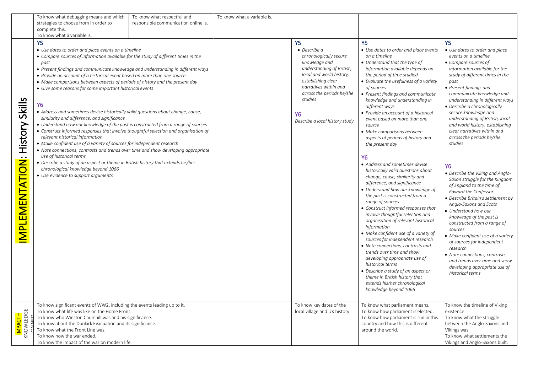| strategies to choose from in order to<br>responsible communication online is.<br>complete this.<br>To know what a variable is.<br><b>Y5</b><br><b>Y5</b><br><b>Y5</b><br>Y <sub>5</sub><br>• Use dates to order and place events on a timeline<br>• Use dates to order and place<br>$\bullet$ Describe a<br>• Use dates to order and place events<br>chronologically secure<br>events on a timeline<br>• Compare sources of information available for the study of different times in the<br>on a timeline<br>knowledge and<br>• Understand that the type of<br>• Compare sources of<br>past<br>understanding of British,<br>information available depends on<br>information available for the<br>• Present findings and communicate knowledge and understanding in different ways<br>local and world history,<br>the period of time studied<br>study of different times in the<br>• Provide an account of a historical event based on more than one source<br>establishing clear<br>• Evaluate the usefulness of a variety<br>past<br>• Make comparisons between aspects of periods of history and the present day<br>narratives within and<br>• Present findings and<br>of sources<br>• Give some reasons for some important historical events<br>across the periods he/she<br>• Present findings and communicate<br>communicate knowledge and<br>studies<br>Skills<br>knowledge and understanding in<br>understanding in different ways<br><b>Y6</b><br>different ways<br>• Describe a chronologically<br>• Address and sometimes devise historically valid questions about change, cause,<br>secure knowledge and<br>• Provide an account of a historical<br>Υ6<br>similarity and difference, and significance<br>understanding of British, local<br>event based on more than one<br>Describe a local history study<br>History<br>• Understand how our knowledge of the past is constructed from a range of sources<br>and world history, establishing<br>source<br>• Construct informed responses that involve thoughtful selection and organisation of<br>clear narratives within and<br>• Make comparisons between<br>relevant historical information<br>across the periods he/she<br>aspects of periods of history and<br>• Make confident use of a variety of sources for independent research<br>studies<br>the present day<br>• Note connections, contrasts and trends over time and show developing appropriate<br>use of historical terms<br>IMPLEMENTATION:<br><b>Y6</b><br>• Describe a study of an aspect or theme in British history that extends his/her<br>• Address and sometimes devise<br><b>Y6</b><br>chronological knowledge beyond 1066<br>historically valid questions about<br>• Describe the Viking and Anglo-<br>• Use evidence to support arguments<br>change, cause, similarity and<br>Saxon struggle for the Kingdom<br>difference, and significance<br>of England to the time of<br>• Understand how our knowledge of<br><b>Edward the Confessor</b><br>the past is constructed from a<br>• Describe Britain's settlement by<br>range of sources<br>Anglo-Saxons and Scots<br>• Construct informed responses that<br>• Understand how our<br>involve thoughtful selection and<br>knowledge of the past is<br>organisation of relevant historical<br>constructed from a range of<br>information<br>sources<br>• Make confident use of a variety of<br>• Make confident use of a variety<br>sources for independent research<br>of sources for independent<br>• Note connections, contrasts and<br>research<br>trends over time and show<br>• Note connections, contrasts<br>developing appropriate use of<br>and trends over time and show<br>historical terms<br>developing appropriate use of<br>• Describe a study of an aspect or<br>historical terms<br>theme in British history that<br>extends his/her chronological<br>knowledge beyond 1066<br>To know significant events of WW2, including the events leading up to it.<br>To know key dates of the<br>To know what parliament means.<br>To know the timeline of Viking<br>I <mark>mpact –</mark><br>Knowledge<br>To know what life was like on the Home Front.<br>local village and UK history.<br>To know how parliament is elected.<br>existence.<br>To know who Winston Churchill was and his significance.<br>To know how parliament is run in this<br>To know what the struggle<br>To know about the Dunkirk Evacuation and its significance.<br>country and how this is different<br>between the Anglo-Saxons and<br>To know what the Front Line was.<br>around the world.<br>Vikings was.<br>To know how the war ended.<br>To know what settlements the | To know what debugging means and which        | To know what respectful and | To know what a variable is. |  |                                 |
|-----------------------------------------------------------------------------------------------------------------------------------------------------------------------------------------------------------------------------------------------------------------------------------------------------------------------------------------------------------------------------------------------------------------------------------------------------------------------------------------------------------------------------------------------------------------------------------------------------------------------------------------------------------------------------------------------------------------------------------------------------------------------------------------------------------------------------------------------------------------------------------------------------------------------------------------------------------------------------------------------------------------------------------------------------------------------------------------------------------------------------------------------------------------------------------------------------------------------------------------------------------------------------------------------------------------------------------------------------------------------------------------------------------------------------------------------------------------------------------------------------------------------------------------------------------------------------------------------------------------------------------------------------------------------------------------------------------------------------------------------------------------------------------------------------------------------------------------------------------------------------------------------------------------------------------------------------------------------------------------------------------------------------------------------------------------------------------------------------------------------------------------------------------------------------------------------------------------------------------------------------------------------------------------------------------------------------------------------------------------------------------------------------------------------------------------------------------------------------------------------------------------------------------------------------------------------------------------------------------------------------------------------------------------------------------------------------------------------------------------------------------------------------------------------------------------------------------------------------------------------------------------------------------------------------------------------------------------------------------------------------------------------------------------------------------------------------------------------------------------------------------------------------------------------------------------------------------------------------------------------------------------------------------------------------------------------------------------------------------------------------------------------------------------------------------------------------------------------------------------------------------------------------------------------------------------------------------------------------------------------------------------------------------------------------------------------------------------------------------------------------------------------------------------------------------------------------------------------------------------------------------------------------------------------------------------------------------------------------------------------------------------------------------------------------------------------------------------------------------------------------------------------------------------------------------------------------------------------------------------------------------------------------------------------------------------------------------------------------------------------------------------------------------------------------------------------------------------------------------------------------------------------------------------------------------------------------------------------------------------------------------------------------------|-----------------------------------------------|-----------------------------|-----------------------------|--|---------------------------------|
|                                                                                                                                                                                                                                                                                                                                                                                                                                                                                                                                                                                                                                                                                                                                                                                                                                                                                                                                                                                                                                                                                                                                                                                                                                                                                                                                                                                                                                                                                                                                                                                                                                                                                                                                                                                                                                                                                                                                                                                                                                                                                                                                                                                                                                                                                                                                                                                                                                                                                                                                                                                                                                                                                                                                                                                                                                                                                                                                                                                                                                                                                                                                                                                                                                                                                                                                                                                                                                                                                                                                                                                                                                                                                                                                                                                                                                                                                                                                                                                                                                                                                                                                                                                                                                                                                                                                                                                                                                                                                                                                                                                                                                                           |                                               |                             |                             |  |                                 |
|                                                                                                                                                                                                                                                                                                                                                                                                                                                                                                                                                                                                                                                                                                                                                                                                                                                                                                                                                                                                                                                                                                                                                                                                                                                                                                                                                                                                                                                                                                                                                                                                                                                                                                                                                                                                                                                                                                                                                                                                                                                                                                                                                                                                                                                                                                                                                                                                                                                                                                                                                                                                                                                                                                                                                                                                                                                                                                                                                                                                                                                                                                                                                                                                                                                                                                                                                                                                                                                                                                                                                                                                                                                                                                                                                                                                                                                                                                                                                                                                                                                                                                                                                                                                                                                                                                                                                                                                                                                                                                                                                                                                                                                           |                                               |                             |                             |  |                                 |
|                                                                                                                                                                                                                                                                                                                                                                                                                                                                                                                                                                                                                                                                                                                                                                                                                                                                                                                                                                                                                                                                                                                                                                                                                                                                                                                                                                                                                                                                                                                                                                                                                                                                                                                                                                                                                                                                                                                                                                                                                                                                                                                                                                                                                                                                                                                                                                                                                                                                                                                                                                                                                                                                                                                                                                                                                                                                                                                                                                                                                                                                                                                                                                                                                                                                                                                                                                                                                                                                                                                                                                                                                                                                                                                                                                                                                                                                                                                                                                                                                                                                                                                                                                                                                                                                                                                                                                                                                                                                                                                                                                                                                                                           |                                               |                             |                             |  |                                 |
|                                                                                                                                                                                                                                                                                                                                                                                                                                                                                                                                                                                                                                                                                                                                                                                                                                                                                                                                                                                                                                                                                                                                                                                                                                                                                                                                                                                                                                                                                                                                                                                                                                                                                                                                                                                                                                                                                                                                                                                                                                                                                                                                                                                                                                                                                                                                                                                                                                                                                                                                                                                                                                                                                                                                                                                                                                                                                                                                                                                                                                                                                                                                                                                                                                                                                                                                                                                                                                                                                                                                                                                                                                                                                                                                                                                                                                                                                                                                                                                                                                                                                                                                                                                                                                                                                                                                                                                                                                                                                                                                                                                                                                                           |                                               |                             |                             |  |                                 |
|                                                                                                                                                                                                                                                                                                                                                                                                                                                                                                                                                                                                                                                                                                                                                                                                                                                                                                                                                                                                                                                                                                                                                                                                                                                                                                                                                                                                                                                                                                                                                                                                                                                                                                                                                                                                                                                                                                                                                                                                                                                                                                                                                                                                                                                                                                                                                                                                                                                                                                                                                                                                                                                                                                                                                                                                                                                                                                                                                                                                                                                                                                                                                                                                                                                                                                                                                                                                                                                                                                                                                                                                                                                                                                                                                                                                                                                                                                                                                                                                                                                                                                                                                                                                                                                                                                                                                                                                                                                                                                                                                                                                                                                           |                                               |                             |                             |  |                                 |
|                                                                                                                                                                                                                                                                                                                                                                                                                                                                                                                                                                                                                                                                                                                                                                                                                                                                                                                                                                                                                                                                                                                                                                                                                                                                                                                                                                                                                                                                                                                                                                                                                                                                                                                                                                                                                                                                                                                                                                                                                                                                                                                                                                                                                                                                                                                                                                                                                                                                                                                                                                                                                                                                                                                                                                                                                                                                                                                                                                                                                                                                                                                                                                                                                                                                                                                                                                                                                                                                                                                                                                                                                                                                                                                                                                                                                                                                                                                                                                                                                                                                                                                                                                                                                                                                                                                                                                                                                                                                                                                                                                                                                                                           |                                               |                             |                             |  |                                 |
|                                                                                                                                                                                                                                                                                                                                                                                                                                                                                                                                                                                                                                                                                                                                                                                                                                                                                                                                                                                                                                                                                                                                                                                                                                                                                                                                                                                                                                                                                                                                                                                                                                                                                                                                                                                                                                                                                                                                                                                                                                                                                                                                                                                                                                                                                                                                                                                                                                                                                                                                                                                                                                                                                                                                                                                                                                                                                                                                                                                                                                                                                                                                                                                                                                                                                                                                                                                                                                                                                                                                                                                                                                                                                                                                                                                                                                                                                                                                                                                                                                                                                                                                                                                                                                                                                                                                                                                                                                                                                                                                                                                                                                                           |                                               |                             |                             |  |                                 |
|                                                                                                                                                                                                                                                                                                                                                                                                                                                                                                                                                                                                                                                                                                                                                                                                                                                                                                                                                                                                                                                                                                                                                                                                                                                                                                                                                                                                                                                                                                                                                                                                                                                                                                                                                                                                                                                                                                                                                                                                                                                                                                                                                                                                                                                                                                                                                                                                                                                                                                                                                                                                                                                                                                                                                                                                                                                                                                                                                                                                                                                                                                                                                                                                                                                                                                                                                                                                                                                                                                                                                                                                                                                                                                                                                                                                                                                                                                                                                                                                                                                                                                                                                                                                                                                                                                                                                                                                                                                                                                                                                                                                                                                           |                                               |                             |                             |  |                                 |
|                                                                                                                                                                                                                                                                                                                                                                                                                                                                                                                                                                                                                                                                                                                                                                                                                                                                                                                                                                                                                                                                                                                                                                                                                                                                                                                                                                                                                                                                                                                                                                                                                                                                                                                                                                                                                                                                                                                                                                                                                                                                                                                                                                                                                                                                                                                                                                                                                                                                                                                                                                                                                                                                                                                                                                                                                                                                                                                                                                                                                                                                                                                                                                                                                                                                                                                                                                                                                                                                                                                                                                                                                                                                                                                                                                                                                                                                                                                                                                                                                                                                                                                                                                                                                                                                                                                                                                                                                                                                                                                                                                                                                                                           |                                               |                             |                             |  |                                 |
|                                                                                                                                                                                                                                                                                                                                                                                                                                                                                                                                                                                                                                                                                                                                                                                                                                                                                                                                                                                                                                                                                                                                                                                                                                                                                                                                                                                                                                                                                                                                                                                                                                                                                                                                                                                                                                                                                                                                                                                                                                                                                                                                                                                                                                                                                                                                                                                                                                                                                                                                                                                                                                                                                                                                                                                                                                                                                                                                                                                                                                                                                                                                                                                                                                                                                                                                                                                                                                                                                                                                                                                                                                                                                                                                                                                                                                                                                                                                                                                                                                                                                                                                                                                                                                                                                                                                                                                                                                                                                                                                                                                                                                                           |                                               |                             |                             |  |                                 |
|                                                                                                                                                                                                                                                                                                                                                                                                                                                                                                                                                                                                                                                                                                                                                                                                                                                                                                                                                                                                                                                                                                                                                                                                                                                                                                                                                                                                                                                                                                                                                                                                                                                                                                                                                                                                                                                                                                                                                                                                                                                                                                                                                                                                                                                                                                                                                                                                                                                                                                                                                                                                                                                                                                                                                                                                                                                                                                                                                                                                                                                                                                                                                                                                                                                                                                                                                                                                                                                                                                                                                                                                                                                                                                                                                                                                                                                                                                                                                                                                                                                                                                                                                                                                                                                                                                                                                                                                                                                                                                                                                                                                                                                           |                                               |                             |                             |  |                                 |
|                                                                                                                                                                                                                                                                                                                                                                                                                                                                                                                                                                                                                                                                                                                                                                                                                                                                                                                                                                                                                                                                                                                                                                                                                                                                                                                                                                                                                                                                                                                                                                                                                                                                                                                                                                                                                                                                                                                                                                                                                                                                                                                                                                                                                                                                                                                                                                                                                                                                                                                                                                                                                                                                                                                                                                                                                                                                                                                                                                                                                                                                                                                                                                                                                                                                                                                                                                                                                                                                                                                                                                                                                                                                                                                                                                                                                                                                                                                                                                                                                                                                                                                                                                                                                                                                                                                                                                                                                                                                                                                                                                                                                                                           |                                               |                             |                             |  |                                 |
|                                                                                                                                                                                                                                                                                                                                                                                                                                                                                                                                                                                                                                                                                                                                                                                                                                                                                                                                                                                                                                                                                                                                                                                                                                                                                                                                                                                                                                                                                                                                                                                                                                                                                                                                                                                                                                                                                                                                                                                                                                                                                                                                                                                                                                                                                                                                                                                                                                                                                                                                                                                                                                                                                                                                                                                                                                                                                                                                                                                                                                                                                                                                                                                                                                                                                                                                                                                                                                                                                                                                                                                                                                                                                                                                                                                                                                                                                                                                                                                                                                                                                                                                                                                                                                                                                                                                                                                                                                                                                                                                                                                                                                                           |                                               |                             |                             |  |                                 |
|                                                                                                                                                                                                                                                                                                                                                                                                                                                                                                                                                                                                                                                                                                                                                                                                                                                                                                                                                                                                                                                                                                                                                                                                                                                                                                                                                                                                                                                                                                                                                                                                                                                                                                                                                                                                                                                                                                                                                                                                                                                                                                                                                                                                                                                                                                                                                                                                                                                                                                                                                                                                                                                                                                                                                                                                                                                                                                                                                                                                                                                                                                                                                                                                                                                                                                                                                                                                                                                                                                                                                                                                                                                                                                                                                                                                                                                                                                                                                                                                                                                                                                                                                                                                                                                                                                                                                                                                                                                                                                                                                                                                                                                           |                                               |                             |                             |  |                                 |
|                                                                                                                                                                                                                                                                                                                                                                                                                                                                                                                                                                                                                                                                                                                                                                                                                                                                                                                                                                                                                                                                                                                                                                                                                                                                                                                                                                                                                                                                                                                                                                                                                                                                                                                                                                                                                                                                                                                                                                                                                                                                                                                                                                                                                                                                                                                                                                                                                                                                                                                                                                                                                                                                                                                                                                                                                                                                                                                                                                                                                                                                                                                                                                                                                                                                                                                                                                                                                                                                                                                                                                                                                                                                                                                                                                                                                                                                                                                                                                                                                                                                                                                                                                                                                                                                                                                                                                                                                                                                                                                                                                                                                                                           |                                               |                             |                             |  |                                 |
|                                                                                                                                                                                                                                                                                                                                                                                                                                                                                                                                                                                                                                                                                                                                                                                                                                                                                                                                                                                                                                                                                                                                                                                                                                                                                                                                                                                                                                                                                                                                                                                                                                                                                                                                                                                                                                                                                                                                                                                                                                                                                                                                                                                                                                                                                                                                                                                                                                                                                                                                                                                                                                                                                                                                                                                                                                                                                                                                                                                                                                                                                                                                                                                                                                                                                                                                                                                                                                                                                                                                                                                                                                                                                                                                                                                                                                                                                                                                                                                                                                                                                                                                                                                                                                                                                                                                                                                                                                                                                                                                                                                                                                                           |                                               |                             |                             |  |                                 |
|                                                                                                                                                                                                                                                                                                                                                                                                                                                                                                                                                                                                                                                                                                                                                                                                                                                                                                                                                                                                                                                                                                                                                                                                                                                                                                                                                                                                                                                                                                                                                                                                                                                                                                                                                                                                                                                                                                                                                                                                                                                                                                                                                                                                                                                                                                                                                                                                                                                                                                                                                                                                                                                                                                                                                                                                                                                                                                                                                                                                                                                                                                                                                                                                                                                                                                                                                                                                                                                                                                                                                                                                                                                                                                                                                                                                                                                                                                                                                                                                                                                                                                                                                                                                                                                                                                                                                                                                                                                                                                                                                                                                                                                           |                                               |                             |                             |  |                                 |
|                                                                                                                                                                                                                                                                                                                                                                                                                                                                                                                                                                                                                                                                                                                                                                                                                                                                                                                                                                                                                                                                                                                                                                                                                                                                                                                                                                                                                                                                                                                                                                                                                                                                                                                                                                                                                                                                                                                                                                                                                                                                                                                                                                                                                                                                                                                                                                                                                                                                                                                                                                                                                                                                                                                                                                                                                                                                                                                                                                                                                                                                                                                                                                                                                                                                                                                                                                                                                                                                                                                                                                                                                                                                                                                                                                                                                                                                                                                                                                                                                                                                                                                                                                                                                                                                                                                                                                                                                                                                                                                                                                                                                                                           |                                               |                             |                             |  |                                 |
|                                                                                                                                                                                                                                                                                                                                                                                                                                                                                                                                                                                                                                                                                                                                                                                                                                                                                                                                                                                                                                                                                                                                                                                                                                                                                                                                                                                                                                                                                                                                                                                                                                                                                                                                                                                                                                                                                                                                                                                                                                                                                                                                                                                                                                                                                                                                                                                                                                                                                                                                                                                                                                                                                                                                                                                                                                                                                                                                                                                                                                                                                                                                                                                                                                                                                                                                                                                                                                                                                                                                                                                                                                                                                                                                                                                                                                                                                                                                                                                                                                                                                                                                                                                                                                                                                                                                                                                                                                                                                                                                                                                                                                                           |                                               |                             |                             |  |                                 |
|                                                                                                                                                                                                                                                                                                                                                                                                                                                                                                                                                                                                                                                                                                                                                                                                                                                                                                                                                                                                                                                                                                                                                                                                                                                                                                                                                                                                                                                                                                                                                                                                                                                                                                                                                                                                                                                                                                                                                                                                                                                                                                                                                                                                                                                                                                                                                                                                                                                                                                                                                                                                                                                                                                                                                                                                                                                                                                                                                                                                                                                                                                                                                                                                                                                                                                                                                                                                                                                                                                                                                                                                                                                                                                                                                                                                                                                                                                                                                                                                                                                                                                                                                                                                                                                                                                                                                                                                                                                                                                                                                                                                                                                           |                                               |                             |                             |  |                                 |
|                                                                                                                                                                                                                                                                                                                                                                                                                                                                                                                                                                                                                                                                                                                                                                                                                                                                                                                                                                                                                                                                                                                                                                                                                                                                                                                                                                                                                                                                                                                                                                                                                                                                                                                                                                                                                                                                                                                                                                                                                                                                                                                                                                                                                                                                                                                                                                                                                                                                                                                                                                                                                                                                                                                                                                                                                                                                                                                                                                                                                                                                                                                                                                                                                                                                                                                                                                                                                                                                                                                                                                                                                                                                                                                                                                                                                                                                                                                                                                                                                                                                                                                                                                                                                                                                                                                                                                                                                                                                                                                                                                                                                                                           |                                               |                             |                             |  |                                 |
|                                                                                                                                                                                                                                                                                                                                                                                                                                                                                                                                                                                                                                                                                                                                                                                                                                                                                                                                                                                                                                                                                                                                                                                                                                                                                                                                                                                                                                                                                                                                                                                                                                                                                                                                                                                                                                                                                                                                                                                                                                                                                                                                                                                                                                                                                                                                                                                                                                                                                                                                                                                                                                                                                                                                                                                                                                                                                                                                                                                                                                                                                                                                                                                                                                                                                                                                                                                                                                                                                                                                                                                                                                                                                                                                                                                                                                                                                                                                                                                                                                                                                                                                                                                                                                                                                                                                                                                                                                                                                                                                                                                                                                                           |                                               |                             |                             |  |                                 |
|                                                                                                                                                                                                                                                                                                                                                                                                                                                                                                                                                                                                                                                                                                                                                                                                                                                                                                                                                                                                                                                                                                                                                                                                                                                                                                                                                                                                                                                                                                                                                                                                                                                                                                                                                                                                                                                                                                                                                                                                                                                                                                                                                                                                                                                                                                                                                                                                                                                                                                                                                                                                                                                                                                                                                                                                                                                                                                                                                                                                                                                                                                                                                                                                                                                                                                                                                                                                                                                                                                                                                                                                                                                                                                                                                                                                                                                                                                                                                                                                                                                                                                                                                                                                                                                                                                                                                                                                                                                                                                                                                                                                                                                           |                                               |                             |                             |  |                                 |
|                                                                                                                                                                                                                                                                                                                                                                                                                                                                                                                                                                                                                                                                                                                                                                                                                                                                                                                                                                                                                                                                                                                                                                                                                                                                                                                                                                                                                                                                                                                                                                                                                                                                                                                                                                                                                                                                                                                                                                                                                                                                                                                                                                                                                                                                                                                                                                                                                                                                                                                                                                                                                                                                                                                                                                                                                                                                                                                                                                                                                                                                                                                                                                                                                                                                                                                                                                                                                                                                                                                                                                                                                                                                                                                                                                                                                                                                                                                                                                                                                                                                                                                                                                                                                                                                                                                                                                                                                                                                                                                                                                                                                                                           |                                               |                             |                             |  |                                 |
|                                                                                                                                                                                                                                                                                                                                                                                                                                                                                                                                                                                                                                                                                                                                                                                                                                                                                                                                                                                                                                                                                                                                                                                                                                                                                                                                                                                                                                                                                                                                                                                                                                                                                                                                                                                                                                                                                                                                                                                                                                                                                                                                                                                                                                                                                                                                                                                                                                                                                                                                                                                                                                                                                                                                                                                                                                                                                                                                                                                                                                                                                                                                                                                                                                                                                                                                                                                                                                                                                                                                                                                                                                                                                                                                                                                                                                                                                                                                                                                                                                                                                                                                                                                                                                                                                                                                                                                                                                                                                                                                                                                                                                                           |                                               |                             |                             |  |                                 |
|                                                                                                                                                                                                                                                                                                                                                                                                                                                                                                                                                                                                                                                                                                                                                                                                                                                                                                                                                                                                                                                                                                                                                                                                                                                                                                                                                                                                                                                                                                                                                                                                                                                                                                                                                                                                                                                                                                                                                                                                                                                                                                                                                                                                                                                                                                                                                                                                                                                                                                                                                                                                                                                                                                                                                                                                                                                                                                                                                                                                                                                                                                                                                                                                                                                                                                                                                                                                                                                                                                                                                                                                                                                                                                                                                                                                                                                                                                                                                                                                                                                                                                                                                                                                                                                                                                                                                                                                                                                                                                                                                                                                                                                           |                                               |                             |                             |  |                                 |
|                                                                                                                                                                                                                                                                                                                                                                                                                                                                                                                                                                                                                                                                                                                                                                                                                                                                                                                                                                                                                                                                                                                                                                                                                                                                                                                                                                                                                                                                                                                                                                                                                                                                                                                                                                                                                                                                                                                                                                                                                                                                                                                                                                                                                                                                                                                                                                                                                                                                                                                                                                                                                                                                                                                                                                                                                                                                                                                                                                                                                                                                                                                                                                                                                                                                                                                                                                                                                                                                                                                                                                                                                                                                                                                                                                                                                                                                                                                                                                                                                                                                                                                                                                                                                                                                                                                                                                                                                                                                                                                                                                                                                                                           |                                               |                             |                             |  |                                 |
|                                                                                                                                                                                                                                                                                                                                                                                                                                                                                                                                                                                                                                                                                                                                                                                                                                                                                                                                                                                                                                                                                                                                                                                                                                                                                                                                                                                                                                                                                                                                                                                                                                                                                                                                                                                                                                                                                                                                                                                                                                                                                                                                                                                                                                                                                                                                                                                                                                                                                                                                                                                                                                                                                                                                                                                                                                                                                                                                                                                                                                                                                                                                                                                                                                                                                                                                                                                                                                                                                                                                                                                                                                                                                                                                                                                                                                                                                                                                                                                                                                                                                                                                                                                                                                                                                                                                                                                                                                                                                                                                                                                                                                                           |                                               |                             |                             |  |                                 |
|                                                                                                                                                                                                                                                                                                                                                                                                                                                                                                                                                                                                                                                                                                                                                                                                                                                                                                                                                                                                                                                                                                                                                                                                                                                                                                                                                                                                                                                                                                                                                                                                                                                                                                                                                                                                                                                                                                                                                                                                                                                                                                                                                                                                                                                                                                                                                                                                                                                                                                                                                                                                                                                                                                                                                                                                                                                                                                                                                                                                                                                                                                                                                                                                                                                                                                                                                                                                                                                                                                                                                                                                                                                                                                                                                                                                                                                                                                                                                                                                                                                                                                                                                                                                                                                                                                                                                                                                                                                                                                                                                                                                                                                           |                                               |                             |                             |  |                                 |
|                                                                                                                                                                                                                                                                                                                                                                                                                                                                                                                                                                                                                                                                                                                                                                                                                                                                                                                                                                                                                                                                                                                                                                                                                                                                                                                                                                                                                                                                                                                                                                                                                                                                                                                                                                                                                                                                                                                                                                                                                                                                                                                                                                                                                                                                                                                                                                                                                                                                                                                                                                                                                                                                                                                                                                                                                                                                                                                                                                                                                                                                                                                                                                                                                                                                                                                                                                                                                                                                                                                                                                                                                                                                                                                                                                                                                                                                                                                                                                                                                                                                                                                                                                                                                                                                                                                                                                                                                                                                                                                                                                                                                                                           |                                               |                             |                             |  |                                 |
|                                                                                                                                                                                                                                                                                                                                                                                                                                                                                                                                                                                                                                                                                                                                                                                                                                                                                                                                                                                                                                                                                                                                                                                                                                                                                                                                                                                                                                                                                                                                                                                                                                                                                                                                                                                                                                                                                                                                                                                                                                                                                                                                                                                                                                                                                                                                                                                                                                                                                                                                                                                                                                                                                                                                                                                                                                                                                                                                                                                                                                                                                                                                                                                                                                                                                                                                                                                                                                                                                                                                                                                                                                                                                                                                                                                                                                                                                                                                                                                                                                                                                                                                                                                                                                                                                                                                                                                                                                                                                                                                                                                                                                                           |                                               |                             |                             |  |                                 |
|                                                                                                                                                                                                                                                                                                                                                                                                                                                                                                                                                                                                                                                                                                                                                                                                                                                                                                                                                                                                                                                                                                                                                                                                                                                                                                                                                                                                                                                                                                                                                                                                                                                                                                                                                                                                                                                                                                                                                                                                                                                                                                                                                                                                                                                                                                                                                                                                                                                                                                                                                                                                                                                                                                                                                                                                                                                                                                                                                                                                                                                                                                                                                                                                                                                                                                                                                                                                                                                                                                                                                                                                                                                                                                                                                                                                                                                                                                                                                                                                                                                                                                                                                                                                                                                                                                                                                                                                                                                                                                                                                                                                                                                           |                                               |                             |                             |  |                                 |
|                                                                                                                                                                                                                                                                                                                                                                                                                                                                                                                                                                                                                                                                                                                                                                                                                                                                                                                                                                                                                                                                                                                                                                                                                                                                                                                                                                                                                                                                                                                                                                                                                                                                                                                                                                                                                                                                                                                                                                                                                                                                                                                                                                                                                                                                                                                                                                                                                                                                                                                                                                                                                                                                                                                                                                                                                                                                                                                                                                                                                                                                                                                                                                                                                                                                                                                                                                                                                                                                                                                                                                                                                                                                                                                                                                                                                                                                                                                                                                                                                                                                                                                                                                                                                                                                                                                                                                                                                                                                                                                                                                                                                                                           |                                               |                             |                             |  |                                 |
|                                                                                                                                                                                                                                                                                                                                                                                                                                                                                                                                                                                                                                                                                                                                                                                                                                                                                                                                                                                                                                                                                                                                                                                                                                                                                                                                                                                                                                                                                                                                                                                                                                                                                                                                                                                                                                                                                                                                                                                                                                                                                                                                                                                                                                                                                                                                                                                                                                                                                                                                                                                                                                                                                                                                                                                                                                                                                                                                                                                                                                                                                                                                                                                                                                                                                                                                                                                                                                                                                                                                                                                                                                                                                                                                                                                                                                                                                                                                                                                                                                                                                                                                                                                                                                                                                                                                                                                                                                                                                                                                                                                                                                                           |                                               |                             |                             |  |                                 |
|                                                                                                                                                                                                                                                                                                                                                                                                                                                                                                                                                                                                                                                                                                                                                                                                                                                                                                                                                                                                                                                                                                                                                                                                                                                                                                                                                                                                                                                                                                                                                                                                                                                                                                                                                                                                                                                                                                                                                                                                                                                                                                                                                                                                                                                                                                                                                                                                                                                                                                                                                                                                                                                                                                                                                                                                                                                                                                                                                                                                                                                                                                                                                                                                                                                                                                                                                                                                                                                                                                                                                                                                                                                                                                                                                                                                                                                                                                                                                                                                                                                                                                                                                                                                                                                                                                                                                                                                                                                                                                                                                                                                                                                           |                                               |                             |                             |  |                                 |
|                                                                                                                                                                                                                                                                                                                                                                                                                                                                                                                                                                                                                                                                                                                                                                                                                                                                                                                                                                                                                                                                                                                                                                                                                                                                                                                                                                                                                                                                                                                                                                                                                                                                                                                                                                                                                                                                                                                                                                                                                                                                                                                                                                                                                                                                                                                                                                                                                                                                                                                                                                                                                                                                                                                                                                                                                                                                                                                                                                                                                                                                                                                                                                                                                                                                                                                                                                                                                                                                                                                                                                                                                                                                                                                                                                                                                                                                                                                                                                                                                                                                                                                                                                                                                                                                                                                                                                                                                                                                                                                                                                                                                                                           |                                               |                             |                             |  |                                 |
|                                                                                                                                                                                                                                                                                                                                                                                                                                                                                                                                                                                                                                                                                                                                                                                                                                                                                                                                                                                                                                                                                                                                                                                                                                                                                                                                                                                                                                                                                                                                                                                                                                                                                                                                                                                                                                                                                                                                                                                                                                                                                                                                                                                                                                                                                                                                                                                                                                                                                                                                                                                                                                                                                                                                                                                                                                                                                                                                                                                                                                                                                                                                                                                                                                                                                                                                                                                                                                                                                                                                                                                                                                                                                                                                                                                                                                                                                                                                                                                                                                                                                                                                                                                                                                                                                                                                                                                                                                                                                                                                                                                                                                                           |                                               |                             |                             |  |                                 |
|                                                                                                                                                                                                                                                                                                                                                                                                                                                                                                                                                                                                                                                                                                                                                                                                                                                                                                                                                                                                                                                                                                                                                                                                                                                                                                                                                                                                                                                                                                                                                                                                                                                                                                                                                                                                                                                                                                                                                                                                                                                                                                                                                                                                                                                                                                                                                                                                                                                                                                                                                                                                                                                                                                                                                                                                                                                                                                                                                                                                                                                                                                                                                                                                                                                                                                                                                                                                                                                                                                                                                                                                                                                                                                                                                                                                                                                                                                                                                                                                                                                                                                                                                                                                                                                                                                                                                                                                                                                                                                                                                                                                                                                           |                                               |                             |                             |  |                                 |
|                                                                                                                                                                                                                                                                                                                                                                                                                                                                                                                                                                                                                                                                                                                                                                                                                                                                                                                                                                                                                                                                                                                                                                                                                                                                                                                                                                                                                                                                                                                                                                                                                                                                                                                                                                                                                                                                                                                                                                                                                                                                                                                                                                                                                                                                                                                                                                                                                                                                                                                                                                                                                                                                                                                                                                                                                                                                                                                                                                                                                                                                                                                                                                                                                                                                                                                                                                                                                                                                                                                                                                                                                                                                                                                                                                                                                                                                                                                                                                                                                                                                                                                                                                                                                                                                                                                                                                                                                                                                                                                                                                                                                                                           |                                               |                             |                             |  |                                 |
|                                                                                                                                                                                                                                                                                                                                                                                                                                                                                                                                                                                                                                                                                                                                                                                                                                                                                                                                                                                                                                                                                                                                                                                                                                                                                                                                                                                                                                                                                                                                                                                                                                                                                                                                                                                                                                                                                                                                                                                                                                                                                                                                                                                                                                                                                                                                                                                                                                                                                                                                                                                                                                                                                                                                                                                                                                                                                                                                                                                                                                                                                                                                                                                                                                                                                                                                                                                                                                                                                                                                                                                                                                                                                                                                                                                                                                                                                                                                                                                                                                                                                                                                                                                                                                                                                                                                                                                                                                                                                                                                                                                                                                                           |                                               |                             |                             |  |                                 |
|                                                                                                                                                                                                                                                                                                                                                                                                                                                                                                                                                                                                                                                                                                                                                                                                                                                                                                                                                                                                                                                                                                                                                                                                                                                                                                                                                                                                                                                                                                                                                                                                                                                                                                                                                                                                                                                                                                                                                                                                                                                                                                                                                                                                                                                                                                                                                                                                                                                                                                                                                                                                                                                                                                                                                                                                                                                                                                                                                                                                                                                                                                                                                                                                                                                                                                                                                                                                                                                                                                                                                                                                                                                                                                                                                                                                                                                                                                                                                                                                                                                                                                                                                                                                                                                                                                                                                                                                                                                                                                                                                                                                                                                           |                                               |                             |                             |  |                                 |
|                                                                                                                                                                                                                                                                                                                                                                                                                                                                                                                                                                                                                                                                                                                                                                                                                                                                                                                                                                                                                                                                                                                                                                                                                                                                                                                                                                                                                                                                                                                                                                                                                                                                                                                                                                                                                                                                                                                                                                                                                                                                                                                                                                                                                                                                                                                                                                                                                                                                                                                                                                                                                                                                                                                                                                                                                                                                                                                                                                                                                                                                                                                                                                                                                                                                                                                                                                                                                                                                                                                                                                                                                                                                                                                                                                                                                                                                                                                                                                                                                                                                                                                                                                                                                                                                                                                                                                                                                                                                                                                                                                                                                                                           |                                               |                             |                             |  |                                 |
|                                                                                                                                                                                                                                                                                                                                                                                                                                                                                                                                                                                                                                                                                                                                                                                                                                                                                                                                                                                                                                                                                                                                                                                                                                                                                                                                                                                                                                                                                                                                                                                                                                                                                                                                                                                                                                                                                                                                                                                                                                                                                                                                                                                                                                                                                                                                                                                                                                                                                                                                                                                                                                                                                                                                                                                                                                                                                                                                                                                                                                                                                                                                                                                                                                                                                                                                                                                                                                                                                                                                                                                                                                                                                                                                                                                                                                                                                                                                                                                                                                                                                                                                                                                                                                                                                                                                                                                                                                                                                                                                                                                                                                                           |                                               |                             |                             |  |                                 |
|                                                                                                                                                                                                                                                                                                                                                                                                                                                                                                                                                                                                                                                                                                                                                                                                                                                                                                                                                                                                                                                                                                                                                                                                                                                                                                                                                                                                                                                                                                                                                                                                                                                                                                                                                                                                                                                                                                                                                                                                                                                                                                                                                                                                                                                                                                                                                                                                                                                                                                                                                                                                                                                                                                                                                                                                                                                                                                                                                                                                                                                                                                                                                                                                                                                                                                                                                                                                                                                                                                                                                                                                                                                                                                                                                                                                                                                                                                                                                                                                                                                                                                                                                                                                                                                                                                                                                                                                                                                                                                                                                                                                                                                           |                                               |                             |                             |  |                                 |
|                                                                                                                                                                                                                                                                                                                                                                                                                                                                                                                                                                                                                                                                                                                                                                                                                                                                                                                                                                                                                                                                                                                                                                                                                                                                                                                                                                                                                                                                                                                                                                                                                                                                                                                                                                                                                                                                                                                                                                                                                                                                                                                                                                                                                                                                                                                                                                                                                                                                                                                                                                                                                                                                                                                                                                                                                                                                                                                                                                                                                                                                                                                                                                                                                                                                                                                                                                                                                                                                                                                                                                                                                                                                                                                                                                                                                                                                                                                                                                                                                                                                                                                                                                                                                                                                                                                                                                                                                                                                                                                                                                                                                                                           |                                               |                             |                             |  |                                 |
|                                                                                                                                                                                                                                                                                                                                                                                                                                                                                                                                                                                                                                                                                                                                                                                                                                                                                                                                                                                                                                                                                                                                                                                                                                                                                                                                                                                                                                                                                                                                                                                                                                                                                                                                                                                                                                                                                                                                                                                                                                                                                                                                                                                                                                                                                                                                                                                                                                                                                                                                                                                                                                                                                                                                                                                                                                                                                                                                                                                                                                                                                                                                                                                                                                                                                                                                                                                                                                                                                                                                                                                                                                                                                                                                                                                                                                                                                                                                                                                                                                                                                                                                                                                                                                                                                                                                                                                                                                                                                                                                                                                                                                                           |                                               |                             |                             |  |                                 |
|                                                                                                                                                                                                                                                                                                                                                                                                                                                                                                                                                                                                                                                                                                                                                                                                                                                                                                                                                                                                                                                                                                                                                                                                                                                                                                                                                                                                                                                                                                                                                                                                                                                                                                                                                                                                                                                                                                                                                                                                                                                                                                                                                                                                                                                                                                                                                                                                                                                                                                                                                                                                                                                                                                                                                                                                                                                                                                                                                                                                                                                                                                                                                                                                                                                                                                                                                                                                                                                                                                                                                                                                                                                                                                                                                                                                                                                                                                                                                                                                                                                                                                                                                                                                                                                                                                                                                                                                                                                                                                                                                                                                                                                           |                                               |                             |                             |  |                                 |
|                                                                                                                                                                                                                                                                                                                                                                                                                                                                                                                                                                                                                                                                                                                                                                                                                                                                                                                                                                                                                                                                                                                                                                                                                                                                                                                                                                                                                                                                                                                                                                                                                                                                                                                                                                                                                                                                                                                                                                                                                                                                                                                                                                                                                                                                                                                                                                                                                                                                                                                                                                                                                                                                                                                                                                                                                                                                                                                                                                                                                                                                                                                                                                                                                                                                                                                                                                                                                                                                                                                                                                                                                                                                                                                                                                                                                                                                                                                                                                                                                                                                                                                                                                                                                                                                                                                                                                                                                                                                                                                                                                                                                                                           |                                               |                             |                             |  |                                 |
|                                                                                                                                                                                                                                                                                                                                                                                                                                                                                                                                                                                                                                                                                                                                                                                                                                                                                                                                                                                                                                                                                                                                                                                                                                                                                                                                                                                                                                                                                                                                                                                                                                                                                                                                                                                                                                                                                                                                                                                                                                                                                                                                                                                                                                                                                                                                                                                                                                                                                                                                                                                                                                                                                                                                                                                                                                                                                                                                                                                                                                                                                                                                                                                                                                                                                                                                                                                                                                                                                                                                                                                                                                                                                                                                                                                                                                                                                                                                                                                                                                                                                                                                                                                                                                                                                                                                                                                                                                                                                                                                                                                                                                                           |                                               |                             |                             |  |                                 |
|                                                                                                                                                                                                                                                                                                                                                                                                                                                                                                                                                                                                                                                                                                                                                                                                                                                                                                                                                                                                                                                                                                                                                                                                                                                                                                                                                                                                                                                                                                                                                                                                                                                                                                                                                                                                                                                                                                                                                                                                                                                                                                                                                                                                                                                                                                                                                                                                                                                                                                                                                                                                                                                                                                                                                                                                                                                                                                                                                                                                                                                                                                                                                                                                                                                                                                                                                                                                                                                                                                                                                                                                                                                                                                                                                                                                                                                                                                                                                                                                                                                                                                                                                                                                                                                                                                                                                                                                                                                                                                                                                                                                                                                           |                                               |                             |                             |  |                                 |
|                                                                                                                                                                                                                                                                                                                                                                                                                                                                                                                                                                                                                                                                                                                                                                                                                                                                                                                                                                                                                                                                                                                                                                                                                                                                                                                                                                                                                                                                                                                                                                                                                                                                                                                                                                                                                                                                                                                                                                                                                                                                                                                                                                                                                                                                                                                                                                                                                                                                                                                                                                                                                                                                                                                                                                                                                                                                                                                                                                                                                                                                                                                                                                                                                                                                                                                                                                                                                                                                                                                                                                                                                                                                                                                                                                                                                                                                                                                                                                                                                                                                                                                                                                                                                                                                                                                                                                                                                                                                                                                                                                                                                                                           |                                               |                             |                             |  |                                 |
|                                                                                                                                                                                                                                                                                                                                                                                                                                                                                                                                                                                                                                                                                                                                                                                                                                                                                                                                                                                                                                                                                                                                                                                                                                                                                                                                                                                                                                                                                                                                                                                                                                                                                                                                                                                                                                                                                                                                                                                                                                                                                                                                                                                                                                                                                                                                                                                                                                                                                                                                                                                                                                                                                                                                                                                                                                                                                                                                                                                                                                                                                                                                                                                                                                                                                                                                                                                                                                                                                                                                                                                                                                                                                                                                                                                                                                                                                                                                                                                                                                                                                                                                                                                                                                                                                                                                                                                                                                                                                                                                                                                                                                                           |                                               |                             |                             |  |                                 |
|                                                                                                                                                                                                                                                                                                                                                                                                                                                                                                                                                                                                                                                                                                                                                                                                                                                                                                                                                                                                                                                                                                                                                                                                                                                                                                                                                                                                                                                                                                                                                                                                                                                                                                                                                                                                                                                                                                                                                                                                                                                                                                                                                                                                                                                                                                                                                                                                                                                                                                                                                                                                                                                                                                                                                                                                                                                                                                                                                                                                                                                                                                                                                                                                                                                                                                                                                                                                                                                                                                                                                                                                                                                                                                                                                                                                                                                                                                                                                                                                                                                                                                                                                                                                                                                                                                                                                                                                                                                                                                                                                                                                                                                           | To know the impact of the war on modern life. |                             |                             |  | Vikings and Anglo-Saxons built. |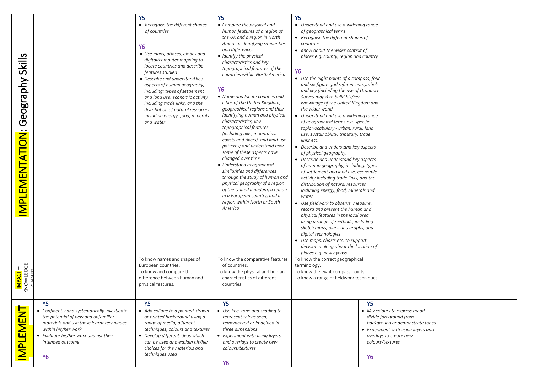|                       |                                                           | Y <sub>5</sub>                                                     | Y <sub>5</sub>                                                   | Y <sub>5</sub>                                                              |                  |                                    |  |
|-----------------------|-----------------------------------------------------------|--------------------------------------------------------------------|------------------------------------------------------------------|-----------------------------------------------------------------------------|------------------|------------------------------------|--|
|                       |                                                           | • Recognise the different shapes                                   | • Compare the physical and                                       | • Understand and use a widening range                                       |                  |                                    |  |
|                       |                                                           | of countries                                                       | human features of a region of                                    | of geographical terms                                                       |                  |                                    |  |
|                       |                                                           |                                                                    | the UK and a region in North                                     | • Recognise the different shapes of                                         |                  |                                    |  |
|                       |                                                           | <b>Y6</b>                                                          | America, identifying similarities                                | countries                                                                   |                  |                                    |  |
|                       |                                                           | • Use maps, atlases, globes and                                    | and differences                                                  | • Know about the wider context of                                           |                  |                                    |  |
| Skills                |                                                           | digital/computer mapping to                                        | • Identify the physical                                          | places e.g. county, region and country                                      |                  |                                    |  |
|                       |                                                           | locate countries and describe                                      | characteristics and key                                          |                                                                             |                  |                                    |  |
|                       |                                                           | features studied                                                   | topographical features of the                                    | <b>Y6</b>                                                                   |                  |                                    |  |
|                       |                                                           | • Describe and understand key                                      | countries within North America                                   | • Use the eight points of a compass, four                                   |                  |                                    |  |
|                       |                                                           | aspects of human geography,                                        |                                                                  | and six-figure grid references, symbols                                     |                  |                                    |  |
|                       |                                                           | including: types of settlement                                     | Υ6                                                               | and key (including the use of Ordnance                                      |                  |                                    |  |
|                       |                                                           | and land use, economic activity                                    | • Name and locate counties and                                   | Survey maps) to build his/her                                               |                  |                                    |  |
|                       |                                                           | including trade links, and the                                     | cities of the United Kingdom,                                    | knowledge of the United Kingdom and                                         |                  |                                    |  |
|                       |                                                           | distribution of natural resources                                  | geographical regions and their                                   | the wider world                                                             |                  |                                    |  |
|                       |                                                           | including energy, food, minerals                                   | identifying human and physical                                   | • Understand and use a widening range                                       |                  |                                    |  |
| Geography             |                                                           | and water                                                          | characteristics, key                                             | of geographical terms e.g. specific                                         |                  |                                    |  |
|                       |                                                           |                                                                    | topographical features                                           | topic vocabulary - urban, rural, land                                       |                  |                                    |  |
|                       |                                                           |                                                                    | (including hills, mountains,                                     | use, sustainability, tributary, trade                                       |                  |                                    |  |
| <b>MPLEMENTATION:</b> |                                                           |                                                                    | coasts and rivers), and land-use<br>patterns; and understand how | links etc.                                                                  |                  |                                    |  |
|                       |                                                           |                                                                    | some of these aspects have                                       | • Describe and understand key aspects                                       |                  |                                    |  |
|                       |                                                           |                                                                    | changed over time                                                | of physical geography,<br>• Describe and understand key aspects             |                  |                                    |  |
|                       |                                                           |                                                                    | • Understand geographical                                        | of human geography, including: types                                        |                  |                                    |  |
|                       |                                                           |                                                                    | similarities and differences                                     | of settlement and land use, economic                                        |                  |                                    |  |
|                       |                                                           |                                                                    | through the study of human and                                   | activity including trade links, and the                                     |                  |                                    |  |
|                       |                                                           |                                                                    | physical geography of a region                                   | distribution of natural resources                                           |                  |                                    |  |
|                       |                                                           |                                                                    | of the United Kingdom, a region                                  | including energy, food, minerals and                                        |                  |                                    |  |
|                       |                                                           |                                                                    | in a European country, and a                                     | water                                                                       |                  |                                    |  |
|                       |                                                           |                                                                    | region within North or South                                     | • Use fieldwork to observe, measure,                                        |                  |                                    |  |
|                       |                                                           |                                                                    | America                                                          | record and present the human and                                            |                  |                                    |  |
|                       |                                                           |                                                                    |                                                                  | physical features in the local area                                         |                  |                                    |  |
|                       |                                                           |                                                                    |                                                                  | using a range of methods, including                                         |                  |                                    |  |
|                       |                                                           |                                                                    |                                                                  | sketch maps, plans and graphs, and                                          |                  |                                    |  |
|                       |                                                           |                                                                    |                                                                  | digital technologies                                                        |                  |                                    |  |
|                       |                                                           |                                                                    |                                                                  | • Use maps, charts etc. to support<br>decision making about the location of |                  |                                    |  |
|                       |                                                           |                                                                    |                                                                  | places e.g. new bypass                                                      |                  |                                    |  |
|                       |                                                           | To know names and shapes of                                        | To know the comparative features                                 | To know the correct geographical                                            |                  |                                    |  |
|                       |                                                           | European countries.                                                | of countries.                                                    | terminology.                                                                |                  |                                    |  |
| IMPACT –<br>Knowledge |                                                           | To know and compare the                                            | To know the physical and human                                   | To know the eight compass points.                                           |                  |                                    |  |
|                       |                                                           | difference between human and                                       | characteristics of different                                     | To know a range of fieldwork techniques.                                    |                  |                                    |  |
|                       |                                                           | physical features.                                                 | countries.                                                       |                                                                             |                  |                                    |  |
|                       |                                                           |                                                                    |                                                                  |                                                                             |                  |                                    |  |
|                       |                                                           |                                                                    |                                                                  |                                                                             |                  |                                    |  |
|                       | Y <sub>5</sub>                                            | Y <sub>5</sub>                                                     | <b>Y5</b>                                                        |                                                                             | <b>Y5</b>        |                                    |  |
|                       | • Confidently and systematically investigate              | • Add collage to a painted, drawn                                  | • Use line, tone and shading to                                  |                                                                             |                  | • Mix colours to express mood,     |  |
|                       | the potential of new and unfamiliar                       | or printed background using a                                      | represent things seen,                                           |                                                                             |                  | divide foreground from             |  |
|                       | materials and use these learnt techniques                 | range of media, different                                          | remembered or imagined in                                        |                                                                             |                  | background or demonstrate tones    |  |
|                       | within his/her work                                       | techniques, colours and textures                                   | three dimensions                                                 |                                                                             |                  | • Experiment with using layers and |  |
|                       | • Evaluate his/her work against their<br>intended outcome | • Develop different ideas which<br>can be used and explain his/her | • Experiment with using layers                                   |                                                                             | colours/textures | overlays to create new             |  |
|                       |                                                           | choices for the materials and                                      | and overlays to create new<br>colours/textures                   |                                                                             |                  |                                    |  |
|                       |                                                           |                                                                    |                                                                  |                                                                             |                  |                                    |  |
|                       |                                                           |                                                                    |                                                                  |                                                                             |                  |                                    |  |
| <b>IMPLEMENT</b>      | <b>Y6</b>                                                 | techniques used                                                    | <b>Y6</b>                                                        |                                                                             | <b>Y6</b>        |                                    |  |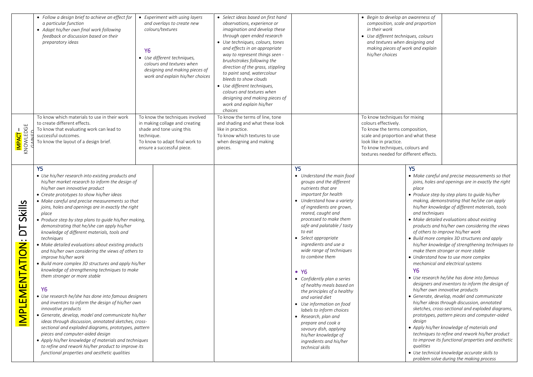|                                                         | • Follow a design brief to achieve an effect for<br>a particular function<br>• Adapt his/her own final work following<br>feedback or discussion based on their<br>preparatory ideas                                                                                                                                                                                                                                                                                                                                                                                                                                                                                                                                                                                                                                                                                                                                                                                                                                                                                                                                                                                                                                                                                                             | Y6         | • Experiment with using layers<br>and overlays to create new<br>colours/textures<br>• Use different techniques,<br>colours and textures when<br>designing and making pieces of<br>work and explain his/her choices | • Select ideas based on first hand<br>observations, experience or<br>imagination and develop these<br>through open ended research<br>Use techniques, colours, tones<br>and effects in an appropriate<br>way to represent things seen -<br>brushstrokes following the<br>direction of the grass, stippling<br>to paint sand, watercolour<br>bleeds to show clouds<br>• Use different techniques,<br>colours and textures when<br>designing and making pieces of<br>work and explain his/her<br>choices |                                                                                                                                                                                                                                                                                                                                                                                                                                                                                                                                                                                                                                                                                                                 | • Begin to develop an awareness of<br>composition, scale and proportion<br>in their work<br>• Use different techniques, colours<br>and textures when designing and<br>making pieces of work and explain<br>his/her choices            |                                                                               |                                                                                                                                                                                                                                                                                                                                                                                                                                                                                                                                                                                                                                                                                                                                                                                                                                                                                                                                                                                                                                                                                                                                                                                                             |
|---------------------------------------------------------|-------------------------------------------------------------------------------------------------------------------------------------------------------------------------------------------------------------------------------------------------------------------------------------------------------------------------------------------------------------------------------------------------------------------------------------------------------------------------------------------------------------------------------------------------------------------------------------------------------------------------------------------------------------------------------------------------------------------------------------------------------------------------------------------------------------------------------------------------------------------------------------------------------------------------------------------------------------------------------------------------------------------------------------------------------------------------------------------------------------------------------------------------------------------------------------------------------------------------------------------------------------------------------------------------|------------|--------------------------------------------------------------------------------------------------------------------------------------------------------------------------------------------------------------------|-------------------------------------------------------------------------------------------------------------------------------------------------------------------------------------------------------------------------------------------------------------------------------------------------------------------------------------------------------------------------------------------------------------------------------------------------------------------------------------------------------|-----------------------------------------------------------------------------------------------------------------------------------------------------------------------------------------------------------------------------------------------------------------------------------------------------------------------------------------------------------------------------------------------------------------------------------------------------------------------------------------------------------------------------------------------------------------------------------------------------------------------------------------------------------------------------------------------------------------|---------------------------------------------------------------------------------------------------------------------------------------------------------------------------------------------------------------------------------------|-------------------------------------------------------------------------------|-------------------------------------------------------------------------------------------------------------------------------------------------------------------------------------------------------------------------------------------------------------------------------------------------------------------------------------------------------------------------------------------------------------------------------------------------------------------------------------------------------------------------------------------------------------------------------------------------------------------------------------------------------------------------------------------------------------------------------------------------------------------------------------------------------------------------------------------------------------------------------------------------------------------------------------------------------------------------------------------------------------------------------------------------------------------------------------------------------------------------------------------------------------------------------------------------------------|
| IMPACT –<br>Knowledge                                   | To know which materials to use in their work<br>to create different effects.<br>To know that evaluating work can lead to<br>successful outcomes.<br>To know the layout of a design brief.                                                                                                                                                                                                                                                                                                                                                                                                                                                                                                                                                                                                                                                                                                                                                                                                                                                                                                                                                                                                                                                                                                       | technique. | To know the techniques involved<br>in making collage and creating<br>shade and tone using this<br>To know to adapt final work to<br>ensure a successful piece.                                                     | To know the terms of line, tone<br>and shading and what these look<br>like in practice.<br>To know which textures to use<br>when designing and making<br>pieces.                                                                                                                                                                                                                                                                                                                                      |                                                                                                                                                                                                                                                                                                                                                                                                                                                                                                                                                                                                                                                                                                                 | To know techniques for mixing<br>colours effectively.<br>To know the terms composition,<br>scale and proportion and what these<br>look like in practice.<br>To know techniques, colours and<br>textures needed for different effects. |                                                                               |                                                                                                                                                                                                                                                                                                                                                                                                                                                                                                                                                                                                                                                                                                                                                                                                                                                                                                                                                                                                                                                                                                                                                                                                             |
| <b>Skills</b><br>Ъ<br><b>ΜΕΝΤΑΤΙΟΝ:</b><br><b>IMPLE</b> | Y <sub>5</sub><br>• Use his/her research into existing products and<br>his/her market research to inform the design of<br>his/her own innovative product<br>• Create prototypes to show his/her ideas<br>• Make careful and precise measurements so that<br>joins, holes and openings are in exactly the right<br>place<br>• Produce step by step plans to guide his/her making,<br>demonstrating that he/she can apply his/her<br>knowledge of different materials, tools and<br>techniques<br>• Make detailed evaluations about existing products<br>and his/her own considering the views of others to<br>improve his/her work<br>• Build more complex 3D structures and apply his/her<br>knowledge of strengthening techniques to make<br>them stronger or more stable<br>Υ6<br>• Use research he/she has done into famous designers<br>and inventors to inform the design of his/her own<br>innovative products<br>• Generate, develop, model and communicate his/her<br>ideas through discussion, annotated sketches, cross-<br>sectional and exploded diagrams, prototypes, pattern<br>pieces and computer-aided design<br>• Apply his/her knowledge of materials and techniques<br>to refine and rework his/her product to improve its<br>functional properties and aesthetic qualities |            |                                                                                                                                                                                                                    |                                                                                                                                                                                                                                                                                                                                                                                                                                                                                                       | Y <sub>5</sub><br>• Understand the main food<br>groups and the different<br>nutrients that are<br>important for health<br>• Understand how a variety<br>of ingredients are grown,<br>reared, caught and<br>processed to make them<br>safe and palatable / tasty<br>to eat<br>• Select appropriate<br>ingredients and use a<br>wide range of techniques<br>to combine them<br>$\bullet$ Y6<br>• Confidently plan a series<br>of healthy meals based on<br>the principles of a healthy<br>and varied diet<br>• Use information on food<br>labels to inform choices<br>• Research, plan and<br>prepare and cook a<br>savoury dish, applying<br>his/her knowledge of<br>ingredients and his/her<br>technical skills |                                                                                                                                                                                                                                       | Y <sub>5</sub><br>place<br>and techniques<br><b>Y6</b><br>design<br>qualities | • Make careful and precise measurements so that<br>joins, holes and openings are in exactly the right<br>• Produce step by step plans to guide his/her<br>making, demonstrating that he/she can apply<br>his/her knowledge of different materials, tools<br>• Make detailed evaluations about existing<br>products and his/her own considering the views<br>of others to improve his/her work<br>• Build more complex 3D structures and apply<br>his/her knowledge of strengthening techniques to<br>make them stronger or more stable<br>• Understand how to use more complex<br>mechanical and electrical systems<br>• Use research he/she has done into famous<br>designers and inventors to inform the design of<br>his/her own innovative products<br>• Generate, develop, model and communicate<br>his/her ideas through discussion, annotated<br>sketches, cross-sectional and exploded diagrams,<br>prototypes, pattern pieces and computer-aided<br>• Apply his/her knowledge of materials and<br>techniques to refine and rework his/her product<br>to improve its functional properties and aesthetic<br>• Use technical knowledge accurate skills to<br>problem solve during the making process |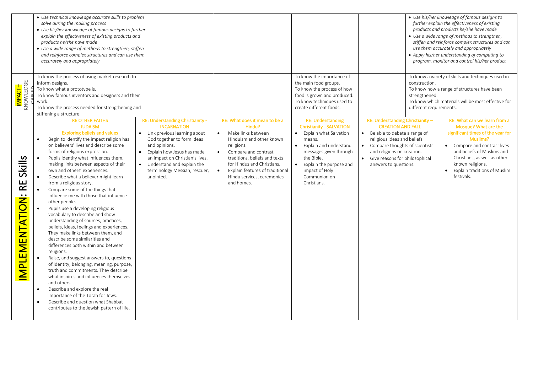|                                      | • Use technical knowledge accurate skills to problem<br>solve during the making process<br>• Use his/her knowledge of famous designs to further<br>explain the effectiveness of existing products and<br>products he/she have made<br>• Use a wide range of methods to strengthen, stiffen<br>and reinforce complex structures and can use them<br>accurately and appropriately                                                                                                                                                                                                                                                                                                                                                                                                                                                                                                                                                                                                                                                                                                                                                                                                                                                                                                                                                                                                                                                                                                                   |                                                                                                                                                                                                                                                                                                                      |                                                                                                                                                                                                                                                 |                                                                                                                                                                                                                                                                        | • Use his/her knowledge of famous designs to<br>further explain the effectiveness of existing<br>products and products he/she have made<br>• Use a wide range of methods to strengthen,<br>stiffen and reinforce complex structures and can<br>use them accurately and appropriately<br>• Apply his/her understanding of computing to<br>program, monitor and control his/her product |
|--------------------------------------|---------------------------------------------------------------------------------------------------------------------------------------------------------------------------------------------------------------------------------------------------------------------------------------------------------------------------------------------------------------------------------------------------------------------------------------------------------------------------------------------------------------------------------------------------------------------------------------------------------------------------------------------------------------------------------------------------------------------------------------------------------------------------------------------------------------------------------------------------------------------------------------------------------------------------------------------------------------------------------------------------------------------------------------------------------------------------------------------------------------------------------------------------------------------------------------------------------------------------------------------------------------------------------------------------------------------------------------------------------------------------------------------------------------------------------------------------------------------------------------------------|----------------------------------------------------------------------------------------------------------------------------------------------------------------------------------------------------------------------------------------------------------------------------------------------------------------------|-------------------------------------------------------------------------------------------------------------------------------------------------------------------------------------------------------------------------------------------------|------------------------------------------------------------------------------------------------------------------------------------------------------------------------------------------------------------------------------------------------------------------------|---------------------------------------------------------------------------------------------------------------------------------------------------------------------------------------------------------------------------------------------------------------------------------------------------------------------------------------------------------------------------------------|
| <b>IMPACT -</b><br>KNOWLEDGE         | To know the process of using market research to<br>inform designs.<br>To know what a prototype is.<br>To know famous inventors and designers and their<br>work.<br>To know the process needed for strengthening and<br>stiffening a structure.                                                                                                                                                                                                                                                                                                                                                                                                                                                                                                                                                                                                                                                                                                                                                                                                                                                                                                                                                                                                                                                                                                                                                                                                                                                    |                                                                                                                                                                                                                                                                                                                      | To know the importance of<br>the main food groups.<br>To know the process of how<br>food is grown and produced.<br>To know techniques used to<br>create different foods.                                                                        | construction.<br>strengthened.<br>different requirements.                                                                                                                                                                                                              | To know a variety of skills and techniques used in<br>To know how a range of structures have been<br>To know which materials will be most effective for                                                                                                                                                                                                                               |
| Skills<br>R<br><b>MPLEMENTATION:</b> | <b>RE OTHER FAITHS</b><br>RE: Understanding Christianity -<br><b>JUDAISM</b><br><b>INCARNATION</b><br><b>Exploring beliefs and values</b><br>• Link previous learning about<br>Begin to identify the impact religion has<br>God together to form ideas<br>$\bullet$<br>on believers' lives and describe some<br>and opinions.<br>forms of religious expression.<br>Explain how Jesus has made<br>$\bullet$<br>Pupils identify what influences them,<br>$\bullet$<br>an impact on Christian's lives.<br>making links between aspects of their<br>Understand and explain the<br>$\bullet$<br>own and others' experiences.<br>terminology Messiah, rescuer,<br>Describe what a believer might learn<br>anointed.<br>from a religious story.<br>Compare some of the things that<br>influence me with those that influence<br>other people.<br>Pupils use a developing religious<br>vocabulary to describe and show<br>understanding of sources, practices,<br>beliefs, ideas, feelings and experiences.<br>They make links between them, and<br>describe some similarities and<br>differences both within and between<br>religions.<br>Raise, and suggest answers to, questions<br>of identity, belonging, meaning, purpose,<br>truth and commitments. They describe<br>what inspires and influences themselves<br>and others.<br>Describe and explore the real<br>$\bullet$<br>importance of the Torah for Jews.<br>Describe and question what Shabbat<br>contributes to the Jewish pattern of life. | RE: What does it mean to be a<br>Hindu?<br>Make links between<br>$\bullet$<br>Hinduism and other known<br>religions.<br>$\bullet$<br>Compare and contrast<br>traditions, beliefs and texts<br>for Hindus and Christians.<br>Explain features of traditional<br>$\bullet$<br>Hindu services, ceremonies<br>and homes. | <b>RE: Understanding</b><br><b>Christianity - SALVATION</b><br>• Explain what Salvation<br>means.<br>Explain and understand<br>messages given through<br>the Bible.<br>Explain the purpose and<br>impact of Holy<br>Communion on<br>Christians. | RE: Understanding Christianity -<br><b>CREATION AND FALL</b><br>Be able to debate a range of<br>$\bullet$<br>religious ideas and beliefs.<br>• Compare thoughts of scientists<br>and religions on creation.<br>Give reasons for philosophical<br>answers to questions. | RE: What can we learn from a<br>Mosque? What are the<br>significant times of the year for<br>Muslims?<br>• Compare and contrast lives<br>and beliefs of Muslims and<br>Christians, as well as other<br>known religions.<br>Explain traditions of Muslim<br>$\bullet$<br>festivals.                                                                                                    |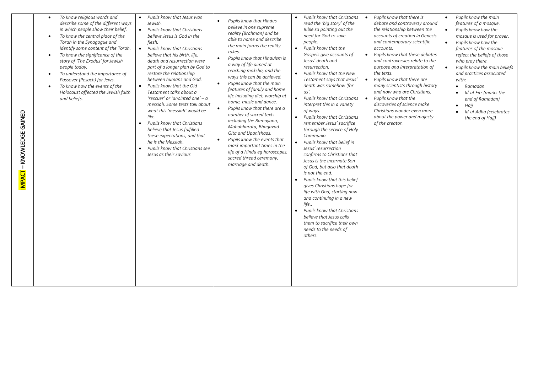| <b>GAINED</b><br>KNOWLEDGE | To know religious words and<br>describe some of the different ways<br>in which people show their belief.<br>To know the central place of the<br>$\bullet$<br>Torah in the Synagogue and<br>identify some content of the Torah.<br>To know the significance of the<br>$\bullet$<br>story of 'The Exodus' for Jewish<br>people today.<br>To understand the importance of<br>$\bullet$<br>Passover (Pesach) for Jews.<br>To know how the events of the<br>Holocaust affected the Jewish faith<br>and beliefs. | Pupils know that Jesus was<br>$\bullet$<br>Jewish.<br>• Pupils know that Christians<br>believe Jesus is God in the<br>flesh.<br>Pupils know that Christians<br>believe that his birth, life,<br>death and resurrection were<br>part of a longer plan by God to<br>restore the relationship<br>between humans and God.<br>Pupils know that the Old<br>Testament talks about a<br>'rescuer' or 'anointed one' - a<br>messiah. Some texts talk about<br>what this 'messiah' would be<br>like.<br>Pupils know that Christians<br>$\bullet$<br>believe that Jesus fulfilled<br>these expectations, and that<br>he is the Messiah.<br>Pupils know that Christians see<br>$\bullet$<br>Jesus as their Saviour. | Pupils know that Hindus<br>$\bullet$<br>believe in one supreme<br>reality (Brahman) and be<br>able to name and describe<br>the main forms the reality<br>takes.<br>Pupils know that Hinduism is<br>$\bullet$<br>a way of life aimed at<br>reaching moksha, and the<br>ways this can be achieved.<br>Pupils know that the main<br>$\bullet$<br>features of family and home<br>life including diet, worship at<br>home, music and dance.<br>Pupils know that there are a<br>$\bullet$<br>number of sacred texts<br>including the Ramayana,<br>Mahabharata, Bhagavad<br>Gita and Upanishads.<br>Pupils know the events that<br>$\bullet$<br>mark important times in the<br>life of a Hindu eg horoscopes,<br>sacred thread ceremony,<br>marriage and death. | Pupils know that Christians<br>$\bullet$<br>read the 'big story' of the<br>Bible sa pointing out the<br>need for God to save<br>people.<br>Pupils know that the<br>Gospels give accounts of<br>Jesus' death and<br>resurrection.<br>Pupils know that the New<br>$\bullet$<br>Testament says that Jesus'<br>death was somehow 'for<br>us'.<br>Pupils know that Christians<br>$\bullet$<br>interpret this in a variety<br>of ways.<br>Pupils know that Christians<br>$\bullet$<br>remember Jesus' sacrifice<br>through the service of Holy<br>Communio.<br>Pupils know that belief in<br>$\bullet$<br>Jesus' resurrection<br>confirms to Christians that<br>Jesus is the incarnate Son<br>of God, but also that death<br>is not the end.<br>Pupils know that this belief<br>$\bullet$<br>gives Christians hope for<br>life with God, starting now<br>and continuing in a new<br>life<br>Pupils know that Christians<br>$\bullet$<br>believe that Jesus calls<br>them to sacrifice their own<br>needs to the needs of<br>others. | Pupils know that there is<br>debate and controversy around<br>the relationship between the<br>accounts of creation in Genesis<br>and contemporary scientific<br>accounts.<br>Pupils know that these debates<br>$\bullet$<br>and controversies relate to the<br>purpose and interpretation of<br>the texts.<br>Pupils know that there are<br>$\bullet$<br>many scientists through history<br>and now who are Christians.<br>$\bullet$<br>Pupils know that the<br>discoveries of science make<br>Christians wonder even more<br>about the power and majesty<br>of the creator. | Pupils know the main<br>features of a mosque.<br>Pupils know how the<br>mosque is used for prayer.<br>Pupils know how the<br>features of the mosque<br>reflect the beliefs of those<br>who pray there.<br>Pupils know the main beliefs<br>and practices associated<br>with:<br>Ramadan<br>$\bullet$<br>Id-ul-Fitr (marks the<br>$\bullet$<br>end of Ramadan)<br>Најј<br>$\bullet$<br>Id-ul-Adha (celebrates<br>$\bullet$<br>the end of Hajj) |
|----------------------------|------------------------------------------------------------------------------------------------------------------------------------------------------------------------------------------------------------------------------------------------------------------------------------------------------------------------------------------------------------------------------------------------------------------------------------------------------------------------------------------------------------|---------------------------------------------------------------------------------------------------------------------------------------------------------------------------------------------------------------------------------------------------------------------------------------------------------------------------------------------------------------------------------------------------------------------------------------------------------------------------------------------------------------------------------------------------------------------------------------------------------------------------------------------------------------------------------------------------------|----------------------------------------------------------------------------------------------------------------------------------------------------------------------------------------------------------------------------------------------------------------------------------------------------------------------------------------------------------------------------------------------------------------------------------------------------------------------------------------------------------------------------------------------------------------------------------------------------------------------------------------------------------------------------------------------------------------------------------------------------------|-------------------------------------------------------------------------------------------------------------------------------------------------------------------------------------------------------------------------------------------------------------------------------------------------------------------------------------------------------------------------------------------------------------------------------------------------------------------------------------------------------------------------------------------------------------------------------------------------------------------------------------------------------------------------------------------------------------------------------------------------------------------------------------------------------------------------------------------------------------------------------------------------------------------------------------------------------------------------------------------------------------------------------|------------------------------------------------------------------------------------------------------------------------------------------------------------------------------------------------------------------------------------------------------------------------------------------------------------------------------------------------------------------------------------------------------------------------------------------------------------------------------------------------------------------------------------------------------------------------------|----------------------------------------------------------------------------------------------------------------------------------------------------------------------------------------------------------------------------------------------------------------------------------------------------------------------------------------------------------------------------------------------------------------------------------------------|
|----------------------------|------------------------------------------------------------------------------------------------------------------------------------------------------------------------------------------------------------------------------------------------------------------------------------------------------------------------------------------------------------------------------------------------------------------------------------------------------------------------------------------------------------|---------------------------------------------------------------------------------------------------------------------------------------------------------------------------------------------------------------------------------------------------------------------------------------------------------------------------------------------------------------------------------------------------------------------------------------------------------------------------------------------------------------------------------------------------------------------------------------------------------------------------------------------------------------------------------------------------------|----------------------------------------------------------------------------------------------------------------------------------------------------------------------------------------------------------------------------------------------------------------------------------------------------------------------------------------------------------------------------------------------------------------------------------------------------------------------------------------------------------------------------------------------------------------------------------------------------------------------------------------------------------------------------------------------------------------------------------------------------------|-------------------------------------------------------------------------------------------------------------------------------------------------------------------------------------------------------------------------------------------------------------------------------------------------------------------------------------------------------------------------------------------------------------------------------------------------------------------------------------------------------------------------------------------------------------------------------------------------------------------------------------------------------------------------------------------------------------------------------------------------------------------------------------------------------------------------------------------------------------------------------------------------------------------------------------------------------------------------------------------------------------------------------|------------------------------------------------------------------------------------------------------------------------------------------------------------------------------------------------------------------------------------------------------------------------------------------------------------------------------------------------------------------------------------------------------------------------------------------------------------------------------------------------------------------------------------------------------------------------------|----------------------------------------------------------------------------------------------------------------------------------------------------------------------------------------------------------------------------------------------------------------------------------------------------------------------------------------------------------------------------------------------------------------------------------------------|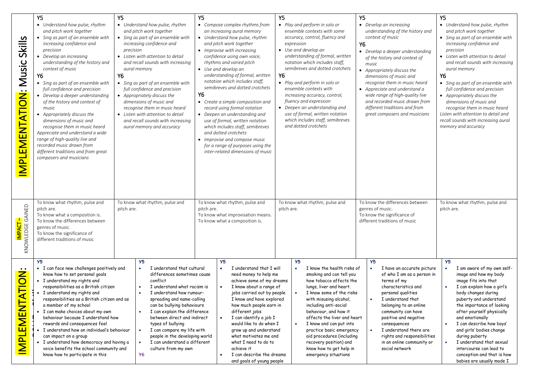| Skills<br><b>IMPLEMENTATION: Music</b>            | Y5<br>• Understand how pulse, rhythm<br>and pitch work together<br>• Sing as part of an ensemble with<br>increasing confidence and<br>precision<br>• Develop an increasing<br>understanding of the history and<br>context of music<br>Υ6<br>• Sing as part of an ensemble with<br>full confidence and precision<br>• Develop a deeper understanding<br>of the history and context of<br>music<br>• Appropriately discuss the<br>dimensions of music and<br>recognise them in music heard<br>Appreciate and understand a wide<br>range of high-quality live and<br>recorded music drawn from<br>different traditions and from great<br>composers and musicians | Υ5<br>• Understand how pulse, rhythm<br>and pitch work together<br>• Sing as part of an ensemble with<br>increasing confidence and<br>precision<br>• Listen with attention to detail<br>and recall sounds with increasing<br>aural memory<br>Υ6<br>• Sing as part of an ensemble with<br>full confidence and precision<br>• Appropriately discuss the<br>dimensions of music and<br>recognise them in music heard<br>• Listen with attention to detail<br>and recall sounds with increasing<br>aural memory and accuracy | Υ5<br>• Compose complex rhythms from<br>an increasing aural memory<br>• Understand how pulse, rhythm<br>and pitch work together<br>• Improvise with increasing<br>confidence using own voice,<br>rhythms and varied pitch<br>• Use and develop an<br>understanding of formal, written<br>notation which includes staff,<br>semibreves and dotted crotchets<br>Υ6<br>• Create a simple composition and<br>record using formal notation<br>• Deepen an understanding and<br>use of formal, written notation<br>which includes staff, semibreves<br>and dotted crotchets<br>• Improvise and compose music<br>for a range of purposes using the<br>inter-related dimensions of music | Y5<br>• Play and perform in solo or<br>ensemble contexts with some<br>accuracy, control, fluency and<br>expression<br>• Use and develop an<br>understanding of formal, written<br>notation which includes staff,<br>semibreves and dotted crotchets<br>Υ6<br>• Play and perform in solo or<br>ensemble contexts with<br>increasing accuracy, control,<br>fluency and expression<br>• Deepen an understanding and<br>use of formal, written notation<br>which includes staff, semibreves<br>and dotted crotchets | Y5<br>• Develop an increasing<br>understanding of the history and<br>context of music<br>Υ6<br>• Develop a deeper understanding<br>of the history and context of<br>music<br>• Appropriately discuss the<br>dimensions of music and<br>recognise them in music heard<br>• Appreciate and understand a<br>wide range of high-quality live<br>and recorded music drawn from<br>different traditions and from<br>great composers and musicians | Y5<br>• Understand how pulse, rhythm<br>and pitch work together<br>• Sing as part of an ensemble with<br>increasing confidence and<br>precision<br>• Listen with attention to detail<br>and recall sounds with increasing<br>aural memory<br>Υ6<br>• Sing as part of an ensemble with<br>full confidence and precision<br>• Appropriately discuss the<br>dimensions of music and<br>recognise them in music heard<br>Listen with attention to detail and<br>recall sounds with increasing aural<br>memory and accuracy |
|---------------------------------------------------|---------------------------------------------------------------------------------------------------------------------------------------------------------------------------------------------------------------------------------------------------------------------------------------------------------------------------------------------------------------------------------------------------------------------------------------------------------------------------------------------------------------------------------------------------------------------------------------------------------------------------------------------------------------|--------------------------------------------------------------------------------------------------------------------------------------------------------------------------------------------------------------------------------------------------------------------------------------------------------------------------------------------------------------------------------------------------------------------------------------------------------------------------------------------------------------------------|----------------------------------------------------------------------------------------------------------------------------------------------------------------------------------------------------------------------------------------------------------------------------------------------------------------------------------------------------------------------------------------------------------------------------------------------------------------------------------------------------------------------------------------------------------------------------------------------------------------------------------------------------------------------------------|-----------------------------------------------------------------------------------------------------------------------------------------------------------------------------------------------------------------------------------------------------------------------------------------------------------------------------------------------------------------------------------------------------------------------------------------------------------------------------------------------------------------|---------------------------------------------------------------------------------------------------------------------------------------------------------------------------------------------------------------------------------------------------------------------------------------------------------------------------------------------------------------------------------------------------------------------------------------------|------------------------------------------------------------------------------------------------------------------------------------------------------------------------------------------------------------------------------------------------------------------------------------------------------------------------------------------------------------------------------------------------------------------------------------------------------------------------------------------------------------------------|
| KNOWLEDGE GAINED                                  | To know what rhythm, pulse and<br>pitch are.<br>To know what a composition is.<br>To know the differences between<br>genres of music.<br>To know the significance of<br>different traditions of music                                                                                                                                                                                                                                                                                                                                                                                                                                                         | To know what rhythm, pulse and<br>pitch are.                                                                                                                                                                                                                                                                                                                                                                                                                                                                             | To know what rhythm, pulse and<br>pitch are.<br>To know what improvisation means.<br>To know what a composition is.                                                                                                                                                                                                                                                                                                                                                                                                                                                                                                                                                              | To know what rhythm, pulse and<br>pitch are.                                                                                                                                                                                                                                                                                                                                                                                                                                                                    | To know the differences between<br>genres of music.<br>To know the significance of<br>different traditions of music                                                                                                                                                                                                                                                                                                                         | To know what rhythm, pulse and<br>pitch are.                                                                                                                                                                                                                                                                                                                                                                                                                                                                           |
| <u></u><br>PLEMENTATIO<br>$\overline{\bf \Sigma}$ | Y5<br>• I can face new challenges positively and<br>know how to set personal goals<br>• I understand my rights and<br>responsibilities as a British citizen<br>I understand my rights and<br>responsibilities as a British citizen and as<br>a member of my school<br>· I can make choices about my own<br>behaviour because I understand how<br>rewards and consequences feel<br>· I understand how an individual's behaviour<br>can impact on a group<br>· I understand how democracy and having a<br>voice benefits the school community and<br>know how to participate in this                                                                            | Y <sub>5</sub><br>I understand that cultural<br>differences sometimes cause<br>conflict<br>I understand what racism is<br>I understand how rumour-<br>spreading and name-calling<br>can be bullying behaviours<br>I can explain the difference<br>$\bullet$<br>between direct and indirect<br>types of bullying<br>I can compare my life with<br>$\bullet$<br>people in the developing world<br>I can understand a different<br>$\bullet$<br>culture from my own<br><b>Y6</b>                                            | Y <sub>5</sub><br>I understand that I will<br>$\bullet$<br>need money to help me<br>achieve some of my dreams<br>I know about a range of<br>$\bullet$<br>jobs carried out by people<br>I know and have explored<br>how much people earn in<br>different jobs<br>I can identify a job I<br>$\bullet$<br>would like to do when I<br>grow up and understand<br>what motivates me and<br>what I need to do to<br>achieve it<br>I can describe the dreams<br>$\bullet$<br>and goals of young people                                                                                                                                                                                   | <b>Y5</b><br>I know the health risks of<br>smoking and can tell you<br>how tobacco affects the<br>lungs, liver and heart.<br>I know some of the risks<br>with misusing alcohol,<br>including anti-social<br>behaviour, and how it<br>affects the liver and heart<br>I know and can put into<br>practice basic emergency<br>aid procedures (including<br>recovery position) and<br>know how to get help in<br>emergency situations                                                                               | <b>Y5</b><br>I have an accurate picture<br>of who I am as a person in<br>terms of my<br>characteristics and<br>personal qualities<br>I understand that<br>belonging to an online<br>community can have<br>positive and negative<br>consequences<br>I understand there are<br>$\bullet$<br>rights and responsibilities<br>in an online community or<br>social network                                                                        | <b>Y5</b><br>I am aware of my own self-<br>image and how my body<br>image fits into that<br>I can explain how a girl's<br>body changes during<br>puberty and understand<br>the importance of looking<br>after yourself physically<br>and emotionally<br>I can describe how boys'<br>and girls' bodies change<br>during puberty<br>I understand that sexual<br>intercourse can lead to<br>conception and that is how<br>babies are usually made I                                                                       |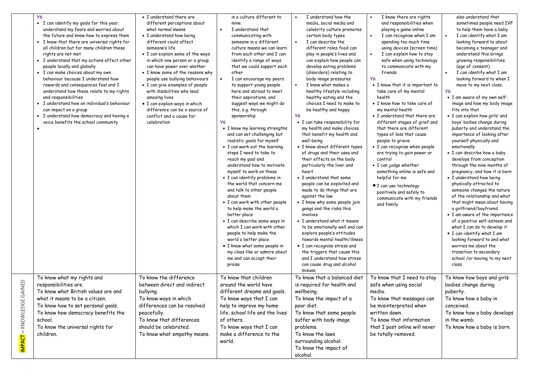|                                     | <b>Y6</b><br>• I can identify my goals for this year,<br>understand my fears and worries about<br>the future and know how to express them<br>• I know that there are universal rights for<br>all children but for many children these<br>rights are not met<br>• I understand that my actions affect other<br>people locally and globally<br>• I can make choices about my own<br>behaviour because I understand how<br>rewards and consequences feel and I<br>understand how these relate to my rights<br>and responsibilities<br>• I understand how an individual's behaviour<br>can impact on a group<br>• I understand how democracy and having a<br>voice benefits the school community | • I understand there are<br>different perceptions about<br>what normal means<br>• I understand how being<br>different could affect<br>someone's life<br>• I can explain some of the ways<br>in which one person or a group<br>can have power over another<br>• I know some of the reasons why<br>people use bullying behaviours<br>• I can give examples of people<br>with disabilities who lead<br>amazing lives<br>· I can explain ways in which<br>difference can be a source of<br>conflict and a cause for<br>celebration | in a culture different to<br>mine<br>I understand that<br>$\bullet$<br>communicating with<br>someone in a different<br>culture means we can learn<br>from each other and I can<br>identify a range of ways<br>that we could support each<br>other<br>I can encourage my peers<br>$\bullet$<br>to support young people<br>here and abroad to meet<br>their aspirations, and<br>suggest ways we might do<br>this, e.g. through<br>sponsorship<br><b>Y6</b><br>• I know my learning strengths<br>and can set challenging but<br>realistic goals for myself<br>• I can work out the learning<br>steps I need to take to<br>reach my goal and<br>understand how to motivate<br>myself to work on these<br>• I can identify problems in<br>the world that concern me<br>and talk to other people<br>about them<br>• I can work with other people<br>to help make the world a<br>better place<br>• I can describe some ways in<br>which I can work with other<br>people to help make the<br>world a better place<br>· I know what some people in<br>my class like or admire about<br>me and can accept their<br>praise | I understand how the<br>media, social media and<br>celebrity culture promotes<br>certain body types<br>I can describe the<br>different roles food can<br>play in people's lives and<br>can explain how people can<br>develop eating problems<br>(disorders) relating to<br>body image pressures<br>I know what makes a<br>healthy lifestyle including<br>healthy eating and the<br>choices I need to make to<br>be healthy and happy<br><b>Y6</b><br>• I can take responsibility for<br>my health and make choices<br>that benefit my health and<br>well-being<br>• I know about different types<br>of drugs and their uses and<br>their effects on the body<br>particularly the liver and<br>heart<br>• I understand that some<br>people can be exploited and<br>made to do things that are<br>against the law<br>• I know why some people join<br>gangs and the risks this<br>involves<br>• I understand what it means<br>to be emotionally well and can<br>explore people's attitudes<br>towards mental health/illness<br>• I can recognise stress and<br>the triggers that cause this<br>and I understand how stress<br>can cause drug and alcohol<br>misuse. | I know there are rights<br>$\bullet$<br>and responsibilities when<br>playing a game online<br>I can recognise when I am<br>$\bullet$<br>spending too much time<br>using devices (screen time)<br>I can explain how to stay<br>$\bullet$<br>safe when using technology<br>to communicate with my<br>friends<br><b>Y6</b><br>• I know that it is important to<br>take care of my mental<br>health<br>• I know how to take care of<br>my mental health<br>• I understand that there are<br>different stages of grief and<br>that there are different<br>types of loss that cause<br>people to grieve<br>• I can recognise when people<br>are trying to gain power or<br>control<br>• I can judge whether<br>something online is safe and<br>helpful for me<br>· I can use technology<br>positively and safely to<br>communicate with my friends<br>and family | also understand that<br>sometimes people need IVF<br>to help them have a baby<br>I can identify what I am<br>looking forward to about<br>becoming a teenager and<br>understand this brings<br>growing responsibilities<br>(age of consent)<br>I can identify what I am<br>looking forward to when I<br>move to my next class.<br><b>Y6</b><br>• I am aware of my own self-<br>image and how my body image<br>fits into that<br>· I can explain how girls' and<br>boys' bodies change during<br>puberty and understand the<br>importance of looking after<br>yourself physically and<br>emotionally<br>· I can describe how a baby<br>develops from conception<br>through the nine months of<br>pregnancy, and how it is born<br>• I understand how being<br>physically attracted to<br>someone changes the nature<br>of the relationship and what<br>that might mean about having<br>a girlfriend/boyfriend<br>• I am aware of the importance<br>of a positive self-esteem and<br>what I can do to develop it<br>• I can identify what I am<br>looking forward to and what<br>worries me about the<br>transition to secondary<br>school /or moving to my next<br>class |
|-------------------------------------|----------------------------------------------------------------------------------------------------------------------------------------------------------------------------------------------------------------------------------------------------------------------------------------------------------------------------------------------------------------------------------------------------------------------------------------------------------------------------------------------------------------------------------------------------------------------------------------------------------------------------------------------------------------------------------------------|--------------------------------------------------------------------------------------------------------------------------------------------------------------------------------------------------------------------------------------------------------------------------------------------------------------------------------------------------------------------------------------------------------------------------------------------------------------------------------------------------------------------------------|-----------------------------------------------------------------------------------------------------------------------------------------------------------------------------------------------------------------------------------------------------------------------------------------------------------------------------------------------------------------------------------------------------------------------------------------------------------------------------------------------------------------------------------------------------------------------------------------------------------------------------------------------------------------------------------------------------------------------------------------------------------------------------------------------------------------------------------------------------------------------------------------------------------------------------------------------------------------------------------------------------------------------------------------------------------------------------------------------------------------|-------------------------------------------------------------------------------------------------------------------------------------------------------------------------------------------------------------------------------------------------------------------------------------------------------------------------------------------------------------------------------------------------------------------------------------------------------------------------------------------------------------------------------------------------------------------------------------------------------------------------------------------------------------------------------------------------------------------------------------------------------------------------------------------------------------------------------------------------------------------------------------------------------------------------------------------------------------------------------------------------------------------------------------------------------------------------------------------------------------------------------------------------------------------|------------------------------------------------------------------------------------------------------------------------------------------------------------------------------------------------------------------------------------------------------------------------------------------------------------------------------------------------------------------------------------------------------------------------------------------------------------------------------------------------------------------------------------------------------------------------------------------------------------------------------------------------------------------------------------------------------------------------------------------------------------------------------------------------------------------------------------------------------------|------------------------------------------------------------------------------------------------------------------------------------------------------------------------------------------------------------------------------------------------------------------------------------------------------------------------------------------------------------------------------------------------------------------------------------------------------------------------------------------------------------------------------------------------------------------------------------------------------------------------------------------------------------------------------------------------------------------------------------------------------------------------------------------------------------------------------------------------------------------------------------------------------------------------------------------------------------------------------------------------------------------------------------------------------------------------------------------------------------------------------------------------------------------------|
| AINED<br>↺<br>KNOWLEDGE<br>IMPACT – | To know what my rights and<br>responsibilities are.<br>To know what British values are and<br>what it means to be a citizen.<br>To know how to set personal goals.<br>To know how democracy benefits the<br>school.<br>To know the universal rights for<br>children.                                                                                                                                                                                                                                                                                                                                                                                                                         | To know the difference<br>between direct and indirect<br>bullying.<br>To know ways in which<br>differences can be resolved<br>peacefully.<br>To know that differences<br>should be celebrated.<br>To know what empathy means.                                                                                                                                                                                                                                                                                                  | To know that children<br>around the world have<br>different dreams and goals.<br>To know ways that I can<br>help to improve my home<br>life, school life and the lives<br>of others.<br>To know ways that I can<br>make a difference to the<br>world.                                                                                                                                                                                                                                                                                                                                                                                                                                                                                                                                                                                                                                                                                                                                                                                                                                                           | To know that a balanced diet<br>is required for health and<br>wellbeing.<br>To know the impact of a<br>poor diet.<br>To know that some people<br>suffer with body image<br>problems.<br>To know the laws<br>surrounding alcohol.<br>To know the impact of<br>alcohol.                                                                                                                                                                                                                                                                                                                                                                                                                                                                                                                                                                                                                                                                                                                                                                                                                                                                                             | To know that I need to stay<br>safe when using social<br>media.<br>To know that messages can<br>be misinterpreted when<br>written down.<br>To know that information<br>that I post online will never<br>be totally removed.                                                                                                                                                                                                                                                                                                                                                                                                                                                                                                                                                                                                                                | To know how boys and girls<br>bodies change during<br>puberty.<br>To know how a baby in<br>conceived.<br>To know how a baby develops<br>in the womb.<br>To know how a baby is born.                                                                                                                                                                                                                                                                                                                                                                                                                                                                                                                                                                                                                                                                                                                                                                                                                                                                                                                                                                                    |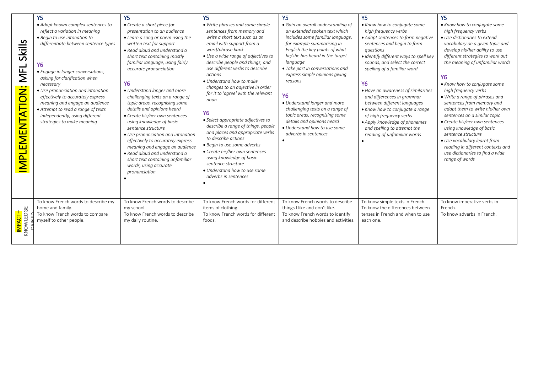| Skills<br><b>NFL</b><br>EMENTATION:<br><b>HAMI</b> | Y <sub>5</sub><br>• Adapt known complex sentences to<br>reflect a variation in meaning<br>• Begin to use intonation to<br>differentiate between sentence types<br><b>Y6</b><br>• Engage in longer conversations,<br>asking for clarification when<br>necessary<br>• Use pronunciation and intonation<br>effectively to accurately express<br>meaning and engage an audience<br>• Attempt to read a range of texts<br>independently, using different<br>strategies to make meaning | Y <sub>5</sub><br>• Create a short piece for<br>presentation to an audience<br>• Learn a song or poem using the<br>written text for support<br>• Read aloud and understand a<br>short text containing mostly<br>familiar language, using fairly<br>accurate pronunciation<br><b>Y6</b><br>• Understand longer and more<br>challenging texts on a range of<br>topic areas, recognising some<br>details and opinions heard<br>• Create his/her own sentences<br>using knowledge of basic<br>sentence structure<br>• Use pronunciation and intonation<br>effectively to accurately express<br>meaning and engage an audience<br>• Read aloud and understand a<br>short text containing unfamiliar<br>words, using accurate<br>pronunciation | Υ5<br>• Write phrases and some simple<br>sentences from memory and<br>write a short text such as an<br>email with support from a<br>word/phrase bank<br>• Use a wide range of adjectives to<br>describe people and things, and<br>use different verbs to describe<br>actions<br>• Understand how to make<br>changes to an adjective in order<br>for it to 'agree' with the relevant<br>noun<br>Y6<br>• Select appropriate adjectives to<br>describe a range of things, people<br>and places and appropriate verbs<br>to describe actions<br>• Begin to use some adverbs<br>• Create his/her own sentences<br>using knowledge of basic<br>sentence structure<br>• Understand how to use some<br>adverbs in sentences | Y5<br>• Gain an overall understanding of<br>an extended spoken text which<br>includes some familiar language,<br>for example summarising in<br>English the key points of what<br>he/she has heard in the target<br>language<br>• Take part in conversations and<br>express simple opinions giving<br>reasons<br>Y6<br>• Understand longer and more<br>challenging texts on a range of<br>topic areas, recognising some<br>details and opinions heard<br>• Understand how to use some<br>adverbs in sentences | <b>Y5</b><br>• Know how to conjugate some<br>high frequency verbs<br>• Adapt sentences to form negative<br>sentences and begin to form<br>questions<br>· Identify different ways to spell key<br>sounds, and select the correct<br>spelling of a familiar word<br><b>Y6</b><br>• Have an awareness of similarities<br>and differences in grammar<br>between different languages<br>• Know how to conjugate a range<br>of high frequency verbs<br>• Apply knowledge of phonemes<br>and spelling to attempt the<br>reading of unfamiliar words | Y <sub>5</sub><br>• Know how to conjugate some<br>high frequency verbs<br>• Use dictionaries to extend<br>vocabulary on a given topic and<br>develop his/her ability to use<br>different strategies to work out<br>the meaning of unfamiliar words<br><b>Y6</b><br>• Know how to conjugate some<br>high frequency verbs<br>• Write a range of phrases and<br>sentences from memory and<br>adapt them to write his/her own<br>sentences on a similar topic<br>• Create his/her own sentences<br>using knowledge of basic<br>sentence structure<br>• Use vocabulary learnt from<br>reading in different contexts and<br>use dictionaries to find a wide<br>range of words |
|----------------------------------------------------|-----------------------------------------------------------------------------------------------------------------------------------------------------------------------------------------------------------------------------------------------------------------------------------------------------------------------------------------------------------------------------------------------------------------------------------------------------------------------------------|------------------------------------------------------------------------------------------------------------------------------------------------------------------------------------------------------------------------------------------------------------------------------------------------------------------------------------------------------------------------------------------------------------------------------------------------------------------------------------------------------------------------------------------------------------------------------------------------------------------------------------------------------------------------------------------------------------------------------------------|---------------------------------------------------------------------------------------------------------------------------------------------------------------------------------------------------------------------------------------------------------------------------------------------------------------------------------------------------------------------------------------------------------------------------------------------------------------------------------------------------------------------------------------------------------------------------------------------------------------------------------------------------------------------------------------------------------------------|--------------------------------------------------------------------------------------------------------------------------------------------------------------------------------------------------------------------------------------------------------------------------------------------------------------------------------------------------------------------------------------------------------------------------------------------------------------------------------------------------------------|----------------------------------------------------------------------------------------------------------------------------------------------------------------------------------------------------------------------------------------------------------------------------------------------------------------------------------------------------------------------------------------------------------------------------------------------------------------------------------------------------------------------------------------------|-------------------------------------------------------------------------------------------------------------------------------------------------------------------------------------------------------------------------------------------------------------------------------------------------------------------------------------------------------------------------------------------------------------------------------------------------------------------------------------------------------------------------------------------------------------------------------------------------------------------------------------------------------------------------|
| I <mark>mpact –</mark><br>Knowledge                | To know French words to describe my<br>home and family.<br>To know French words to compare<br>myself to other people.                                                                                                                                                                                                                                                                                                                                                             | To know French words to describe<br>my school.<br>To know French words to describe<br>my daily routine.                                                                                                                                                                                                                                                                                                                                                                                                                                                                                                                                                                                                                                  | To know French words for different<br>items of clothing.<br>To know French words for different<br>foods.                                                                                                                                                                                                                                                                                                                                                                                                                                                                                                                                                                                                            | To know French words to describe<br>things I like and don't like.<br>To know French words to identify<br>and describe hobbies and activities.                                                                                                                                                                                                                                                                                                                                                                | To know simple texts in French.<br>To know the differences between<br>tenses in French and when to use<br>each one.                                                                                                                                                                                                                                                                                                                                                                                                                          | To know imperative verbs in<br>French.<br>To know adverbs in French.                                                                                                                                                                                                                                                                                                                                                                                                                                                                                                                                                                                                    |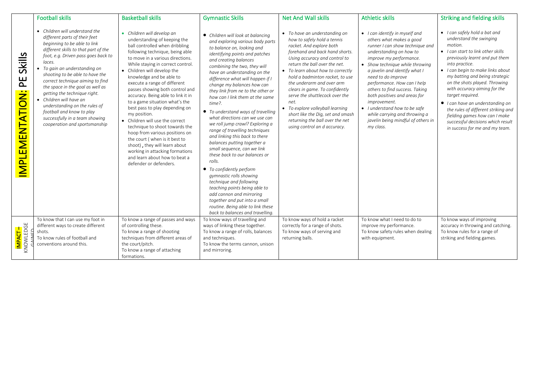|                                      | <b>Football skills</b>                                                                                                                                                                                                                                                                                                                                                                                                                                                                                                           | <b>Basketball skills</b>                                                                                                                                                                                                                                                                                                                                                                                                                                                                                                                                                                                                                                                                                                                | <b>Gymnastic Skills</b>                                                                                                                                                                                                                                                                                                                                                                                                                                                                                                                                                                                                                                                                                                                                                                                                                                                                                                             | <b>Net And Wall skills</b>                                                                                                                                                                                                                                                                                                                                                                                                                                                                                                | <b>Athletic skills</b>                                                                                                                                                                                                                                                                                                                                                                                                                                                              | <b>Striking and fielding skills</b>                                                                                                                                                                                                                                                                                                                                                                                                                                                                          |
|--------------------------------------|----------------------------------------------------------------------------------------------------------------------------------------------------------------------------------------------------------------------------------------------------------------------------------------------------------------------------------------------------------------------------------------------------------------------------------------------------------------------------------------------------------------------------------|-----------------------------------------------------------------------------------------------------------------------------------------------------------------------------------------------------------------------------------------------------------------------------------------------------------------------------------------------------------------------------------------------------------------------------------------------------------------------------------------------------------------------------------------------------------------------------------------------------------------------------------------------------------------------------------------------------------------------------------------|-------------------------------------------------------------------------------------------------------------------------------------------------------------------------------------------------------------------------------------------------------------------------------------------------------------------------------------------------------------------------------------------------------------------------------------------------------------------------------------------------------------------------------------------------------------------------------------------------------------------------------------------------------------------------------------------------------------------------------------------------------------------------------------------------------------------------------------------------------------------------------------------------------------------------------------|---------------------------------------------------------------------------------------------------------------------------------------------------------------------------------------------------------------------------------------------------------------------------------------------------------------------------------------------------------------------------------------------------------------------------------------------------------------------------------------------------------------------------|-------------------------------------------------------------------------------------------------------------------------------------------------------------------------------------------------------------------------------------------------------------------------------------------------------------------------------------------------------------------------------------------------------------------------------------------------------------------------------------|--------------------------------------------------------------------------------------------------------------------------------------------------------------------------------------------------------------------------------------------------------------------------------------------------------------------------------------------------------------------------------------------------------------------------------------------------------------------------------------------------------------|
| Skills<br>巴<br><b>MPLEMENTATION:</b> | • Children will understand the<br>different parts of their feet<br>beginning to be able to link<br>different skills to that part of the<br>foot, e.g. Driven pass goes back to<br>laces.<br>• To gain an understanding on<br>shooting to be able to have the<br>correct technique aiming to find<br>the space in the goal as well as<br>getting the technique right.<br>• Children will have an<br>understanding on the rules of<br>football and know to play<br>successfully in a team showing<br>cooperation and sportsmanship | • Children will develop an<br>understanding of keeping the<br>ball controlled when dribbling<br>following technique, being able<br>to move in a various directions.<br>While staying in correct control.<br>• Children will develop the<br>knowledge and be able to<br>execute a range of different<br>passes showing both control and<br>accuracy. Being able to link it in<br>to a game situation what's the<br>best pass to play depending on<br>my position.<br>• Children will use the correct<br>technique to shoot towards the<br>hoop from various positions on<br>the court (when is it best to<br>shoot), they will learn about<br>working in attacking formations<br>and learn about how to beat a<br>defender or defenders. | • Children will look at balancina<br>and exploring various body parts<br>to balance on, looking and<br>identifying points and patches<br>and creating balances<br>combining the two, they will<br>have an understanding on the<br>difference what will happen if I<br>change my balances how can<br>they link from ne to the other or<br>how can I link them at the same<br>time?.<br>• To understand ways of travelling<br>what directions can we use can<br>we roll jump crawl? Exploring a<br>range of travelling techniques<br>and linking this back to there<br>balances putting together a<br>small sequence, can we link<br>these back to our balances or<br>rolls.<br>• To confidently perform<br>gymnastic rolls showing<br>technique and following<br>teaching points being able to<br>add cannon and mirroring<br>together and put into a small<br>routine. Being able to link these<br>back to balances and travelling. | • To have an understanding on<br>how to safely hold a tennis<br>racket. And explore both<br>forehand and back hand shorts.<br>Using accuracy and control to<br>return the ball over the net.<br>• To learn about how to correctly<br>hold a badminton racket, to use<br>the underarm and over arm<br>clears in game. To confidently<br>serve the shuttlecock over the<br>net.<br>• To explore volleyball learning<br>short like the Dig, set and smash<br>returning the ball over the net<br>using control an d accuracy. | • I can identify in myself and<br>others what makes a good<br>runner I can show technique and<br>understanding on how to<br>improve my performance.<br>• Show technique while throwing<br>a javelin and identify what I<br>need to do improve<br>performance. How can I help<br>others to find success. Taking<br>both positives and areas for<br>improvement.<br>• I understand how to be safe<br>while carrying and throwing a<br>javelin being mindful of others in<br>my class. | • I can safely hold a bat and<br>understand the swinging<br>motion.<br>• I can start to link other skills<br>previously learnt and put them<br>into practice.<br>• I can begin to make links about<br>my batting and being strategic<br>on the shots played. Throwing<br>with accuracy aiming for the<br>target required.<br>• I can have an understanding on<br>the rules of different striking and<br>fielding games how can I make<br>successful decisions which result<br>in success for me and my team. |
| I <mark>mpact –</mark><br>Knowledge  | To know that I can use my foot in<br>different ways to create different<br>shots.<br>To know rules of football and<br>conventions around this.                                                                                                                                                                                                                                                                                                                                                                                   | To know a range of passes and ways<br>of controlling these.<br>To know a range of shooting<br>techniques from different areas of<br>the court/pitch.<br>To know a range of attaching<br>formations.                                                                                                                                                                                                                                                                                                                                                                                                                                                                                                                                     | To know ways of travelling and<br>ways of linking these together.<br>To know a range of rolls, balances<br>and techniques.<br>To know the terms cannon, unison<br>and mirroring.                                                                                                                                                                                                                                                                                                                                                                                                                                                                                                                                                                                                                                                                                                                                                    | To know ways of hold a racket<br>correctly for a range of shots.<br>To know ways of serving and<br>returning balls.                                                                                                                                                                                                                                                                                                                                                                                                       | To know what I need to do to<br>improve my performance.<br>To know safety rules when dealing<br>with equipment.                                                                                                                                                                                                                                                                                                                                                                     | To know ways of improving<br>accuracy in throwing and catching.<br>To know rules for a range of<br>striking and fielding games.                                                                                                                                                                                                                                                                                                                                                                              |